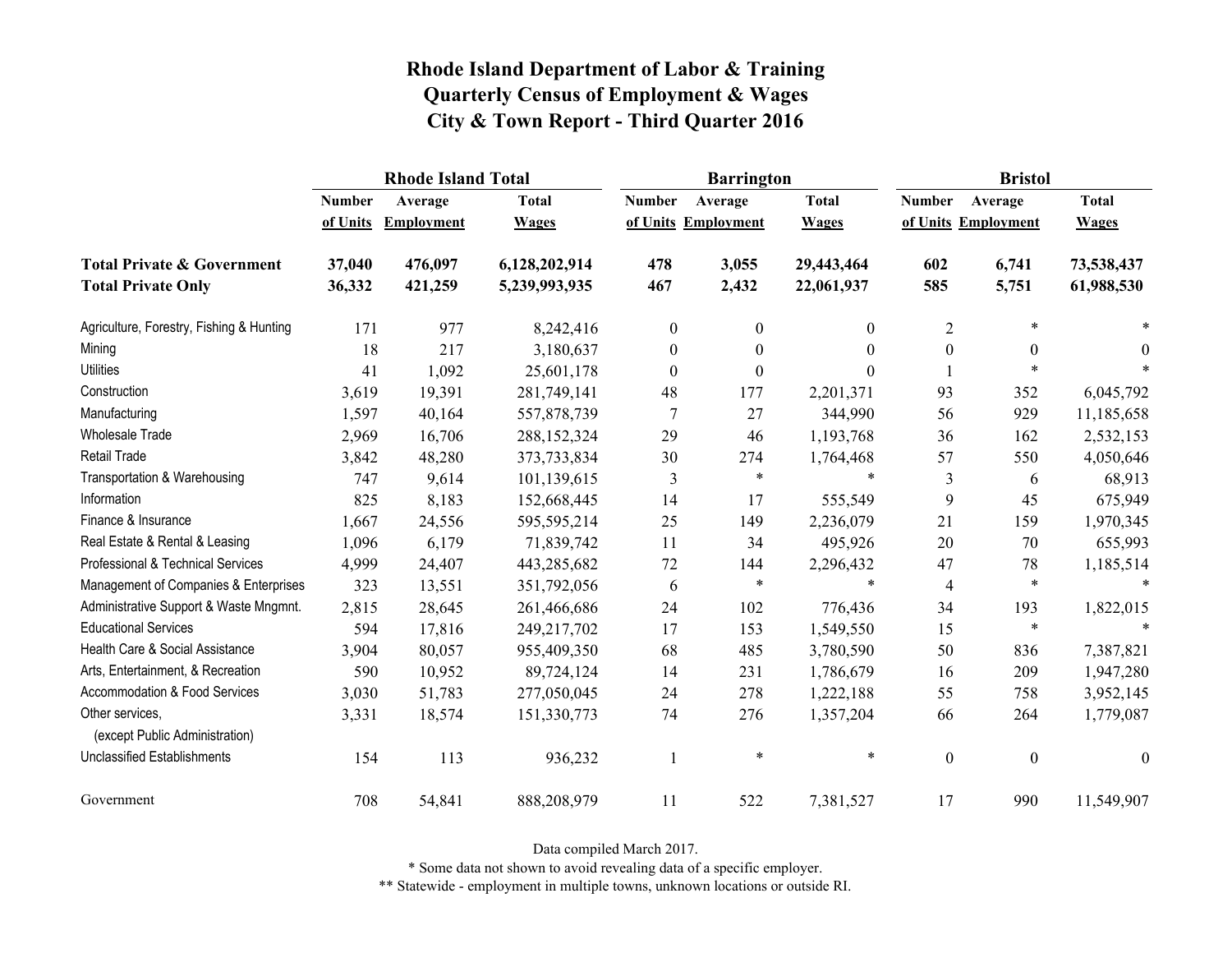|                                                   |               | <b>Rhode Island Total</b> |               |                                     | <b>Barrington</b> |              | <b>Bristol</b>      |                  |                  |
|---------------------------------------------------|---------------|---------------------------|---------------|-------------------------------------|-------------------|--------------|---------------------|------------------|------------------|
|                                                   | <b>Number</b> | Average                   | <b>Total</b>  | <b>Number</b>                       | Average           | <b>Total</b> | <b>Number</b>       | Average          | <b>Total</b>     |
|                                                   | of Units      | <b>Employment</b>         | <b>Wages</b>  | of Units Employment<br><b>Wages</b> |                   |              | of Units Employment | <b>Wages</b>     |                  |
| <b>Total Private &amp; Government</b>             | 37,040        | 476,097                   | 6,128,202,914 | 478                                 | 3,055             | 29,443,464   | 602                 | 6,741            | 73,538,437       |
| <b>Total Private Only</b>                         | 36,332        | 421,259                   | 5,239,993,935 | 467                                 | 2,432             | 22,061,937   | 585                 | 5,751            | 61,988,530       |
| Agriculture, Forestry, Fishing & Hunting          | 171           | 977                       | 8,242,416     | $\overline{0}$                      | $\mathbf{0}$      | $\theta$     | $\overline{2}$      | $\ast$           |                  |
| Mining                                            | 18            | 217                       | 3,180,637     | $\boldsymbol{0}$                    | $\boldsymbol{0}$  | $\theta$     | $\boldsymbol{0}$    | $\boldsymbol{0}$ | $\theta$         |
| <b>Utilities</b>                                  | 41            | 1,092                     | 25,601,178    | $\boldsymbol{0}$                    | $\boldsymbol{0}$  | $\Omega$     |                     | $\ast$           |                  |
| Construction                                      | 3,619         | 19,391                    | 281,749,141   | 48                                  | 177               | 2,201,371    | 93                  | 352              | 6,045,792        |
| Manufacturing                                     | 1,597         | 40,164                    | 557,878,739   | 7                                   | 27                | 344,990      | 56                  | 929              | 11,185,658       |
| <b>Wholesale Trade</b>                            | 2,969         | 16,706                    | 288,152,324   | 29                                  | 46                | 1,193,768    | 36                  | 162              | 2,532,153        |
| <b>Retail Trade</b>                               | 3,842         | 48,280                    | 373,733,834   | 30                                  | 274               | 1,764,468    | 57                  | 550              | 4,050,646        |
| Transportation & Warehousing                      | 747           | 9,614                     | 101,139,615   | 3                                   | $\ast$            | $\ast$       | 3                   | 6                | 68,913           |
| Information                                       | 825           | 8,183                     | 152,668,445   | 14                                  | 17                | 555,549      | 9                   | 45               | 675,949          |
| Finance & Insurance                               | 1,667         | 24,556                    | 595,595,214   | 25                                  | 149               | 2,236,079    | 21                  | 159              | 1,970,345        |
| Real Estate & Rental & Leasing                    | 1,096         | 6,179                     | 71,839,742    | 11                                  | 34                | 495,926      | 20                  | 70               | 655,993          |
| Professional & Technical Services                 | 4,999         | 24,407                    | 443,285,682   | 72                                  | 144               | 2,296,432    | 47                  | 78               | 1,185,514        |
| Management of Companies & Enterprises             | 323           | 13,551                    | 351,792,056   | 6                                   | $\ast$            | $\ast$       | $\overline{4}$      | $\ast$           | $\ast$           |
| Administrative Support & Waste Mngmnt.            | 2,815         | 28,645                    | 261,466,686   | 24                                  | 102               | 776,436      | 34                  | 193              | 1,822,015        |
| <b>Educational Services</b>                       | 594           | 17,816                    | 249,217,702   | 17                                  | 153               | 1,549,550    | 15                  | $\ast$           | $\ast$           |
| Health Care & Social Assistance                   | 3,904         | 80,057                    | 955,409,350   | 68                                  | 485               | 3,780,590    | 50                  | 836              | 7,387,821        |
| Arts, Entertainment, & Recreation                 | 590           | 10,952                    | 89,724,124    | 14                                  | 231               | 1,786,679    | 16                  | 209              | 1,947,280        |
| Accommodation & Food Services                     | 3,030         | 51,783                    | 277,050,045   | 24                                  | 278               | 1,222,188    | 55                  | 758              | 3,952,145        |
| Other services,<br>(except Public Administration) | 3,331         | 18,574                    | 151,330,773   | 74                                  | 276               | 1,357,204    | 66                  | 264              | 1,779,087        |
| <b>Unclassified Establishments</b>                | 154           | 113                       | 936,232       | $\mathbf{1}$                        | $\ast$            | $\ast$       | $\boldsymbol{0}$    | $\boldsymbol{0}$ | $\boldsymbol{0}$ |
| Government                                        | 708           | 54,841                    | 888,208,979   | 11                                  | 522               | 7,381,527    | 17                  | 990              | 11,549,907       |

Data compiled March 2017.

\* Some data not shown to avoid revealing data of a specific employer.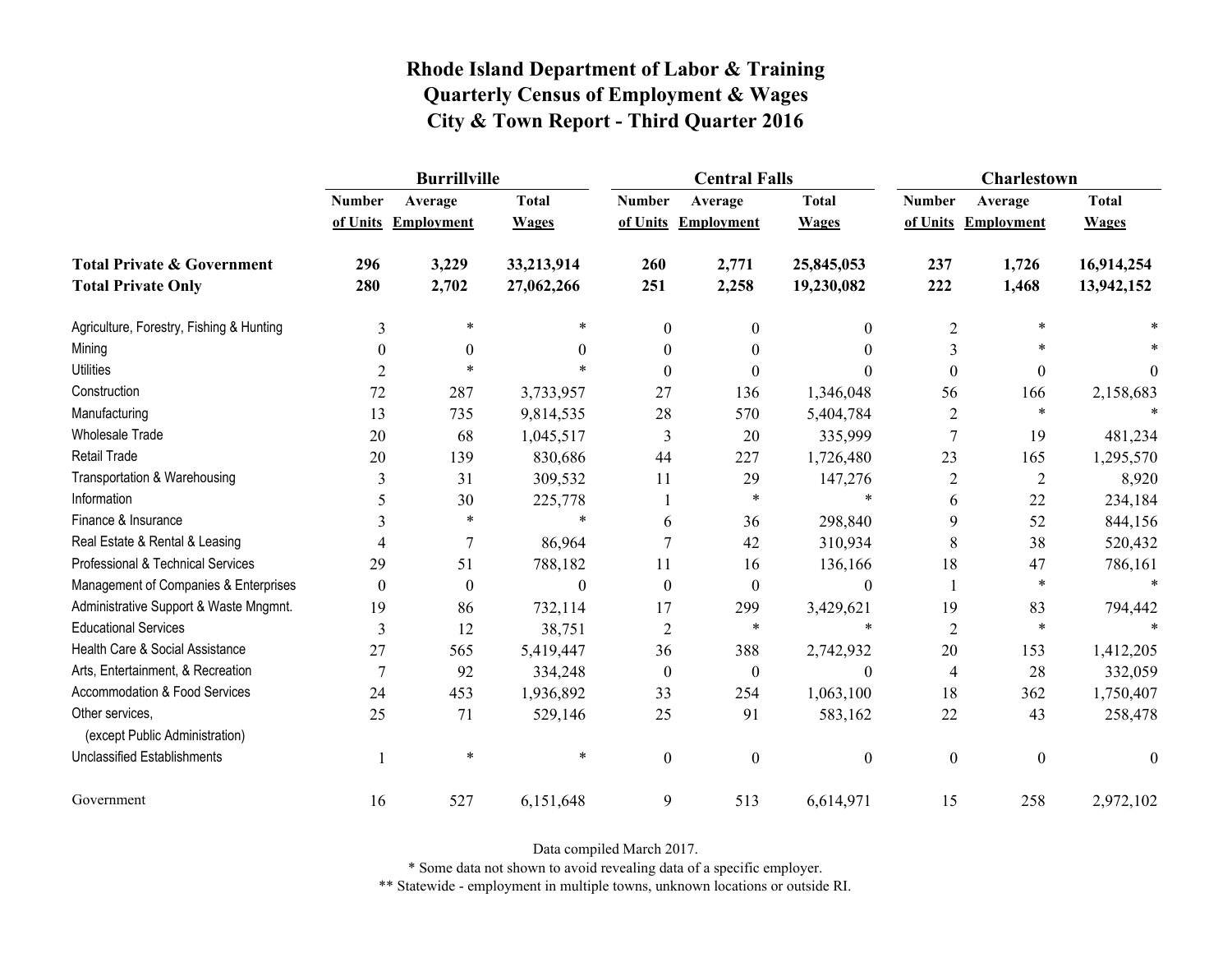|                                                   | <b>Burrillville</b> |                     |                |                  | <b>Central Falls</b> |                  | Charlestown      |                     |              |
|---------------------------------------------------|---------------------|---------------------|----------------|------------------|----------------------|------------------|------------------|---------------------|--------------|
|                                                   | <b>Number</b>       | Average             | <b>Total</b>   | <b>Number</b>    | Average              | <b>Total</b>     | <b>Number</b>    | Average             | <b>Total</b> |
|                                                   |                     | of Units Employment | <b>Wages</b>   |                  | of Units Employment  | <b>Wages</b>     |                  | of Units Employment | <b>Wages</b> |
| <b>Total Private &amp; Government</b>             | 296                 | 3,229               | 33,213,914     | 260              | 2,771                | 25,845,053       | 237              | 1,726               | 16,914,254   |
| <b>Total Private Only</b>                         | 280                 | 2,702               | 27,062,266     | 251              | 2,258                | 19,230,082       | 222              | 1,468               | 13,942,152   |
| Agriculture, Forestry, Fishing & Hunting          | 3                   | $\ast$              | *              | $\boldsymbol{0}$ | $\mathbf{0}$         | $\boldsymbol{0}$ | $\overline{2}$   | $\ast$              |              |
| Mining                                            | $\boldsymbol{0}$    | $\boldsymbol{0}$    | $\theta$       | $\theta$         | $\theta$             | $\boldsymbol{0}$ | 3                |                     |              |
| <b>Utilities</b>                                  | 2                   | $\ast$              | *              | $\Omega$         | $\Omega$             | $\Omega$         | $\boldsymbol{0}$ | $\boldsymbol{0}$    | $\theta$     |
| Construction                                      | 72                  | 287                 | 3,733,957      | 27               | 136                  | 1,346,048        | 56               | 166                 | 2,158,683    |
| Manufacturing                                     | 13                  | 735                 | 9,814,535      | 28               | 570                  | 5,404,784        | $\overline{2}$   | $\ast$              |              |
| <b>Wholesale Trade</b>                            | 20                  | 68                  | 1,045,517      | 3                | 20                   | 335,999          | $\boldsymbol{7}$ | 19                  | 481,234      |
| <b>Retail Trade</b>                               | 20                  | 139                 | 830,686        | 44               | 227                  | 1,726,480        | 23               | 165                 | 1,295,570    |
| Transportation & Warehousing                      | 3                   | 31                  | 309,532        | 11               | 29                   | 147,276          | $\boldsymbol{2}$ | $\sqrt{2}$          | 8,920        |
| Information                                       | 5                   | 30                  | 225,778        |                  | *                    | $\ast$           | 6                | 22                  | 234,184      |
| Finance & Insurance                               | 3                   | $\ast$              | $\ast$         | 6                | 36                   | 298,840          | 9                | 52                  | 844,156      |
| Real Estate & Rental & Leasing                    | 4                   | $\overline{7}$      | 86,964         |                  | 42                   | 310,934          | 8                | 38                  | 520,432      |
| Professional & Technical Services                 | 29                  | 51                  | 788,182        | 11               | 16                   | 136,166          | 18               | 47                  | 786,161      |
| Management of Companies & Enterprises             | $\boldsymbol{0}$    | $\boldsymbol{0}$    | $\overline{0}$ | $\boldsymbol{0}$ | $\boldsymbol{0}$     | $\boldsymbol{0}$ | 1                | $\ast$              | $\ast$       |
| Administrative Support & Waste Mngmnt.            | 19                  | 86                  | 732,114        | 17               | 299                  | 3,429,621        | 19               | 83                  | 794,442      |
| <b>Educational Services</b>                       | 3                   | 12                  | 38,751         | $\overline{2}$   | *                    | $\ast$           | $\overline{2}$   | $\ast$              |              |
| Health Care & Social Assistance                   | 27                  | 565                 | 5,419,447      | 36               | 388                  | 2,742,932        | 20               | 153                 | 1,412,205    |
| Arts, Entertainment, & Recreation                 | $\overline{7}$      | 92                  | 334,248        | $\boldsymbol{0}$ | $\boldsymbol{0}$     | $\boldsymbol{0}$ | $\overline{4}$   | 28                  | 332,059      |
| Accommodation & Food Services                     | 24                  | 453                 | 1,936,892      | 33               | 254                  | 1,063,100        | 18               | 362                 | 1,750,407    |
| Other services,<br>(except Public Administration) | 25                  | 71                  | 529,146        | 25               | 91                   | 583,162          | 22               | 43                  | 258,478      |
| <b>Unclassified Establishments</b>                |                     | $\ast$              | $\ast$         | $\boldsymbol{0}$ | $\mathbf{0}$         | $\boldsymbol{0}$ | $\boldsymbol{0}$ | $\boldsymbol{0}$    | $\mathbf{0}$ |
| Government                                        | 16                  | 527                 | 6,151,648      | 9                | 513                  | 6,614,971        | 15               | 258                 | 2,972,102    |

Data compiled March 2017.

\* Some data not shown to avoid revealing data of a specific employer.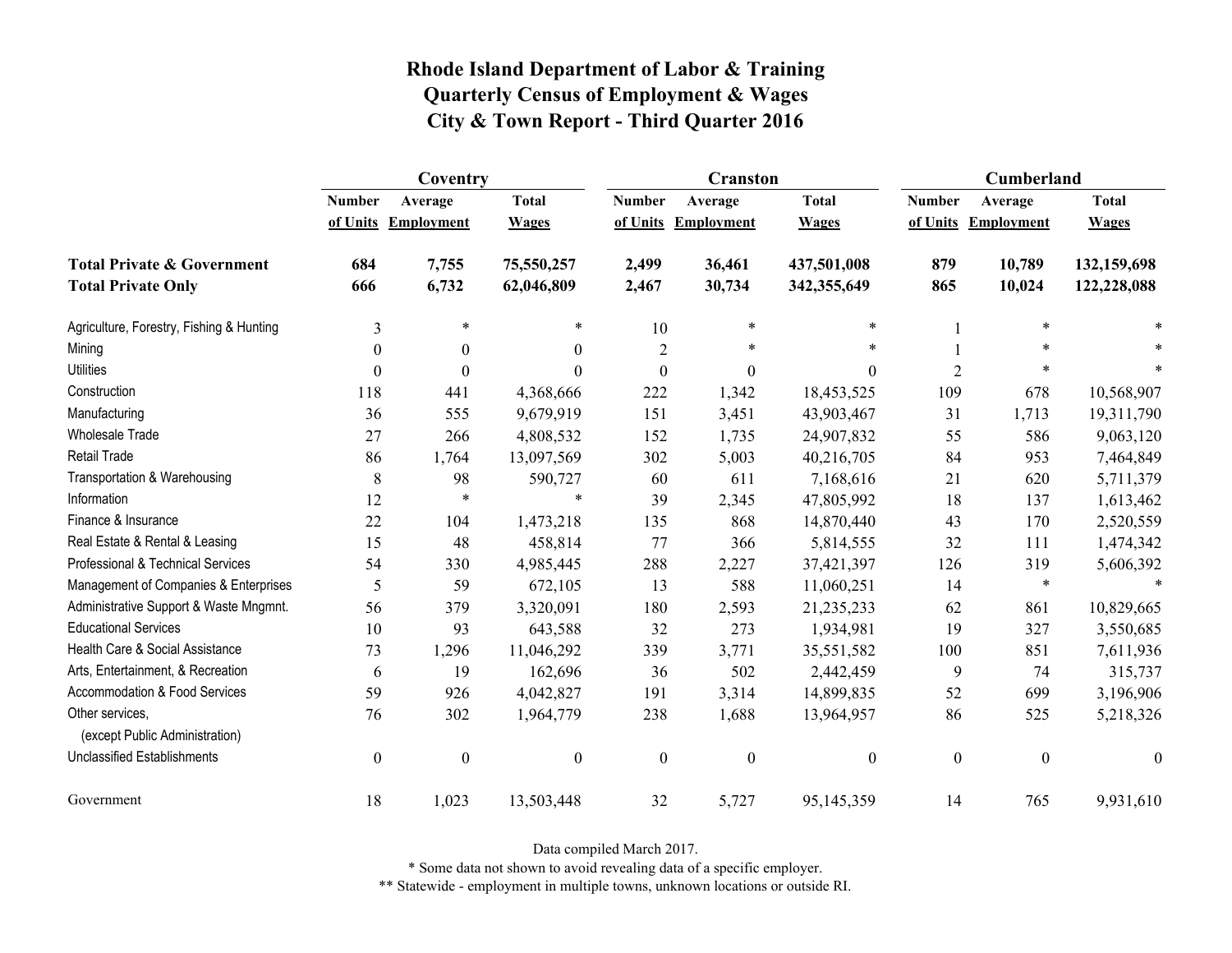|                                                   | Coventry         |                   |                  |                  | <b>Cranston</b>     |                  | Cumberland       |                     |                  |
|---------------------------------------------------|------------------|-------------------|------------------|------------------|---------------------|------------------|------------------|---------------------|------------------|
|                                                   | <b>Number</b>    | Average           | <b>Total</b>     | <b>Number</b>    | Average             | <b>Total</b>     | <b>Number</b>    | Average             | <b>Total</b>     |
|                                                   | of Units         | <b>Employment</b> | <b>Wages</b>     |                  | of Units Employment | <b>Wages</b>     |                  | of Units Employment | <b>Wages</b>     |
| <b>Total Private &amp; Government</b>             | 684              | 7,755             | 75,550,257       | 2,499            | 36,461              | 437,501,008      | 879              | 10,789              | 132,159,698      |
| <b>Total Private Only</b>                         | 666              | 6,732             | 62,046,809       | 2,467            | 30,734              | 342,355,649      | 865              | 10,024              | 122,228,088      |
| Agriculture, Forestry, Fishing & Hunting          | 3                | $\ast$            | *                | 10               | *                   | $\ast$           |                  | $\ast$              |                  |
| Mining                                            | $\theta$         | $\theta$          | $\theta$         | $\overline{2}$   |                     | $\ast$           |                  | $\ast$              |                  |
| <b>Utilities</b>                                  | $\theta$         | $\mathbf{0}$      | $\Omega$         | $\boldsymbol{0}$ | $\boldsymbol{0}$    | $\theta$         | $\overline{2}$   | $\ast$              |                  |
| Construction                                      | 118              | 441               | 4,368,666        | 222              | 1,342               | 18,453,525       | 109              | 678                 | 10,568,907       |
| Manufacturing                                     | 36               | 555               | 9,679,919        | 151              | 3,451               | 43,903,467       | 31               | 1,713               | 19,311,790       |
| <b>Wholesale Trade</b>                            | 27               | 266               | 4,808,532        | 152              | 1,735               | 24,907,832       | 55               | 586                 | 9,063,120        |
| Retail Trade                                      | 86               | 1,764             | 13,097,569       | 302              | 5,003               | 40,216,705       | 84               | 953                 | 7,464,849        |
| Transportation & Warehousing                      | $\,8\,$          | 98                | 590,727          | 60               | 611                 | 7,168,616        | 21               | 620                 | 5,711,379        |
| Information                                       | 12               | $\ast$            | $\ast$           | 39               | 2,345               | 47,805,992       | 18               | 137                 | 1,613,462        |
| Finance & Insurance                               | 22               | 104               | 1,473,218        | 135              | 868                 | 14,870,440       | 43               | 170                 | 2,520,559        |
| Real Estate & Rental & Leasing                    | 15               | 48                | 458,814          | 77               | 366                 | 5,814,555        | 32               | 111                 | 1,474,342        |
| Professional & Technical Services                 | 54               | 330               | 4,985,445        | 288              | 2,227               | 37,421,397       | 126              | 319                 | 5,606,392        |
| Management of Companies & Enterprises             | 5                | 59                | 672,105          | 13               | 588                 | 11,060,251       | 14               | $\ast$              | $\ast$           |
| Administrative Support & Waste Mngmnt.            | 56               | 379               | 3,320,091        | 180              | 2,593               | 21,235,233       | 62               | 861                 | 10,829,665       |
| <b>Educational Services</b>                       | 10               | 93                | 643,588          | 32               | 273                 | 1,934,981        | 19               | 327                 | 3,550,685        |
| Health Care & Social Assistance                   | 73               | 1,296             | 11,046,292       | 339              | 3,771               | 35,551,582       | 100              | 851                 | 7,611,936        |
| Arts, Entertainment, & Recreation                 | 6                | 19                | 162,696          | 36               | 502                 | 2,442,459        | 9                | 74                  | 315,737          |
| Accommodation & Food Services                     | 59               | 926               | 4,042,827        | 191              | 3,314               | 14,899,835       | 52               | 699                 | 3,196,906        |
| Other services,<br>(except Public Administration) | 76               | 302               | 1,964,779        | 238              | 1,688               | 13,964,957       | 86               | 525                 | 5,218,326        |
| <b>Unclassified Establishments</b>                | $\boldsymbol{0}$ | $\boldsymbol{0}$  | $\boldsymbol{0}$ | $\boldsymbol{0}$ | $\boldsymbol{0}$    | $\boldsymbol{0}$ | $\boldsymbol{0}$ | $\boldsymbol{0}$    | $\boldsymbol{0}$ |
| Government                                        | 18               | 1,023             | 13,503,448       | 32               | 5,727               | 95,145,359       | 14               | 765                 | 9,931,610        |

Data compiled March 2017.

\* Some data not shown to avoid revealing data of a specific employer.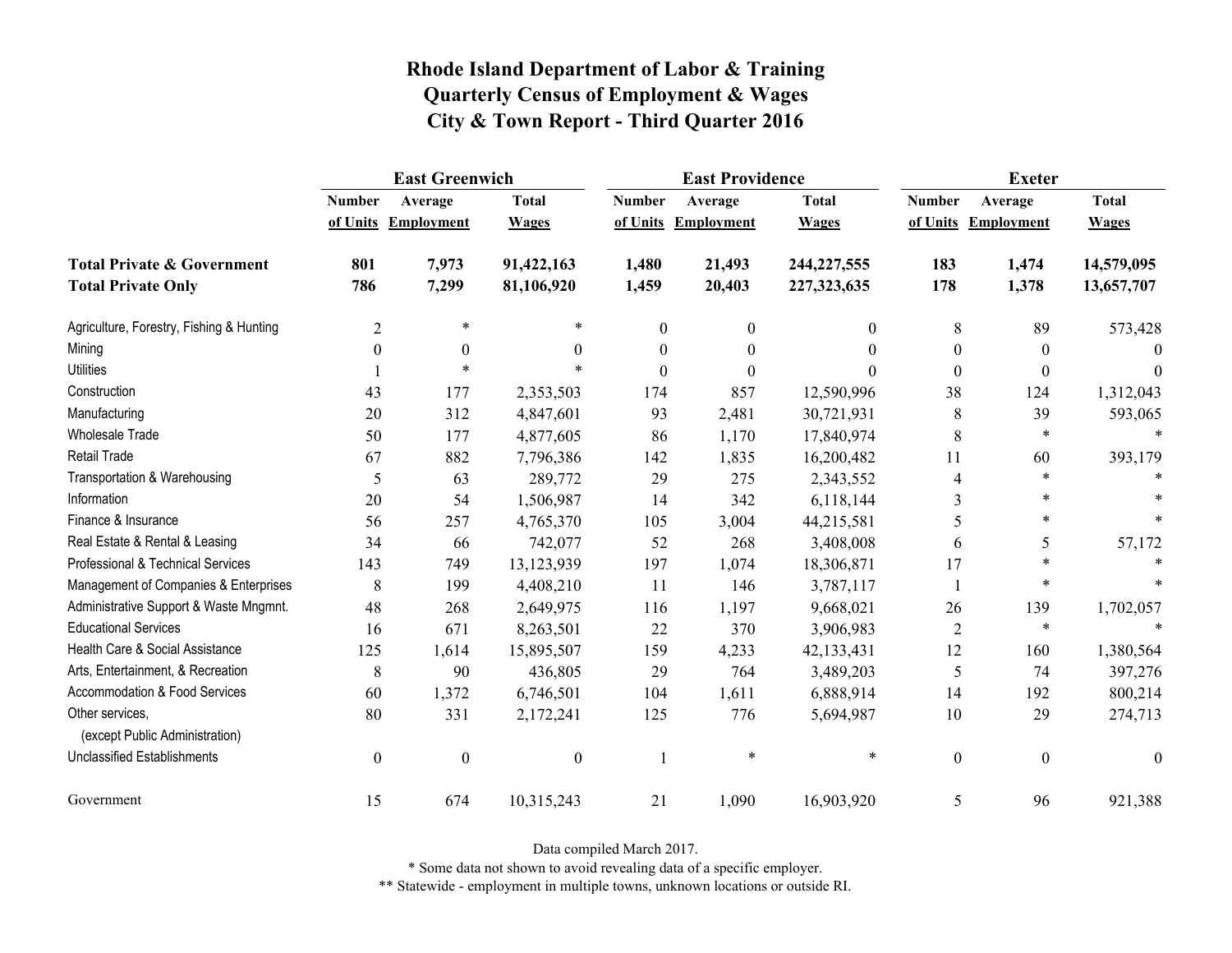|                                                   | <b>East Greenwich</b> |                     |                  |                  | <b>East Providence</b> |               | <b>Exeter</b>    |                     |              |
|---------------------------------------------------|-----------------------|---------------------|------------------|------------------|------------------------|---------------|------------------|---------------------|--------------|
|                                                   | <b>Number</b>         | Average             | <b>Total</b>     | <b>Number</b>    | Average                | <b>Total</b>  | <b>Number</b>    | Average             | <b>Total</b> |
|                                                   |                       | of Units Employment | <b>Wages</b>     |                  | of Units Employment    | <b>Wages</b>  |                  | of Units Employment | <b>Wages</b> |
| <b>Total Private &amp; Government</b>             | 801                   | 7,973               | 91,422,163       | 1,480            | 21,493                 | 244, 227, 555 | 183              | 1,474               | 14,579,095   |
| <b>Total Private Only</b>                         | 786                   | 7,299               | 81,106,920       | 1,459            | 20,403                 | 227,323,635   | 178              | 1,378               | 13,657,707   |
| Agriculture, Forestry, Fishing & Hunting          | $\overline{2}$        | $\ast$              |                  | $\mathbf{0}$     | $\mathbf{0}$           | 0             | 8                | 89                  | 573,428      |
| Mining                                            | $\boldsymbol{0}$      | $\boldsymbol{0}$    | $\Omega$         | $\boldsymbol{0}$ | $\boldsymbol{0}$       | $\Omega$      | $\boldsymbol{0}$ | $\theta$            | $\theta$     |
| <b>Utilities</b>                                  |                       | $\ast$              |                  | $\theta$         | $\theta$               | 0             | $\boldsymbol{0}$ | $\theta$            | $\theta$     |
| Construction                                      | 43                    | 177                 | 2,353,503        | 174              | 857                    | 12,590,996    | 38               | 124                 | 1,312,043    |
| Manufacturing                                     | 20                    | 312                 | 4,847,601        | 93               | 2,481                  | 30,721,931    | 8                | 39                  | 593,065      |
| <b>Wholesale Trade</b>                            | 50                    | 177                 | 4,877,605        | 86               | 1,170                  | 17,840,974    | 8                | $\ast$              | $\ast$       |
| <b>Retail Trade</b>                               | 67                    | 882                 | 7,796,386        | 142              | 1,835                  | 16,200,482    | 11               | 60                  | 393,179      |
| Transportation & Warehousing                      | 5                     | 63                  | 289,772          | 29               | 275                    | 2,343,552     | $\overline{4}$   | $\ast$              |              |
| Information                                       | 20                    | 54                  | 1,506,987        | 14               | 342                    | 6,118,144     | 3                | $\ast$              |              |
| Finance & Insurance                               | 56                    | 257                 | 4,765,370        | 105              | 3,004                  | 44,215,581    | 5                | $\ast$              |              |
| Real Estate & Rental & Leasing                    | 34                    | 66                  | 742,077          | 52               | 268                    | 3,408,008     | 6                | 5                   | 57,172       |
| Professional & Technical Services                 | 143                   | 749                 | 13,123,939       | 197              | 1,074                  | 18,306,871    | 17               | $\ast$              |              |
| Management of Companies & Enterprises             | 8                     | 199                 | 4,408,210        | 11               | 146                    | 3,787,117     |                  | $\ast$              |              |
| Administrative Support & Waste Mngmnt.            | 48                    | 268                 | 2,649,975        | 116              | 1,197                  | 9,668,021     | 26               | 139                 | 1,702,057    |
| <b>Educational Services</b>                       | 16                    | 671                 | 8,263,501        | 22               | 370                    | 3,906,983     | $\overline{2}$   | $\ast$              |              |
| Health Care & Social Assistance                   | 125                   | 1,614               | 15,895,507       | 159              | 4,233                  | 42,133,431    | 12               | 160                 | 1,380,564    |
| Arts, Entertainment, & Recreation                 | 8                     | 90                  | 436,805          | 29               | 764                    | 3,489,203     | 5                | 74                  | 397,276      |
| <b>Accommodation &amp; Food Services</b>          | 60                    | 1,372               | 6,746,501        | 104              | 1,611                  | 6,888,914     | 14               | 192                 | 800,214      |
| Other services,<br>(except Public Administration) | 80                    | 331                 | 2,172,241        | 125              | 776                    | 5,694,987     | $10\,$           | 29                  | 274,713      |
| <b>Unclassified Establishments</b>                | $\boldsymbol{0}$      | $\boldsymbol{0}$    | $\boldsymbol{0}$ |                  | $\ast$                 | $\ast$        | $\boldsymbol{0}$ | $\boldsymbol{0}$    | $\theta$     |
| Government                                        | 15                    | 674                 | 10,315,243       | 21               | 1,090                  | 16,903,920    | 5                | 96                  | 921,388      |

Data compiled March 2017.

\* Some data not shown to avoid revealing data of a specific employer.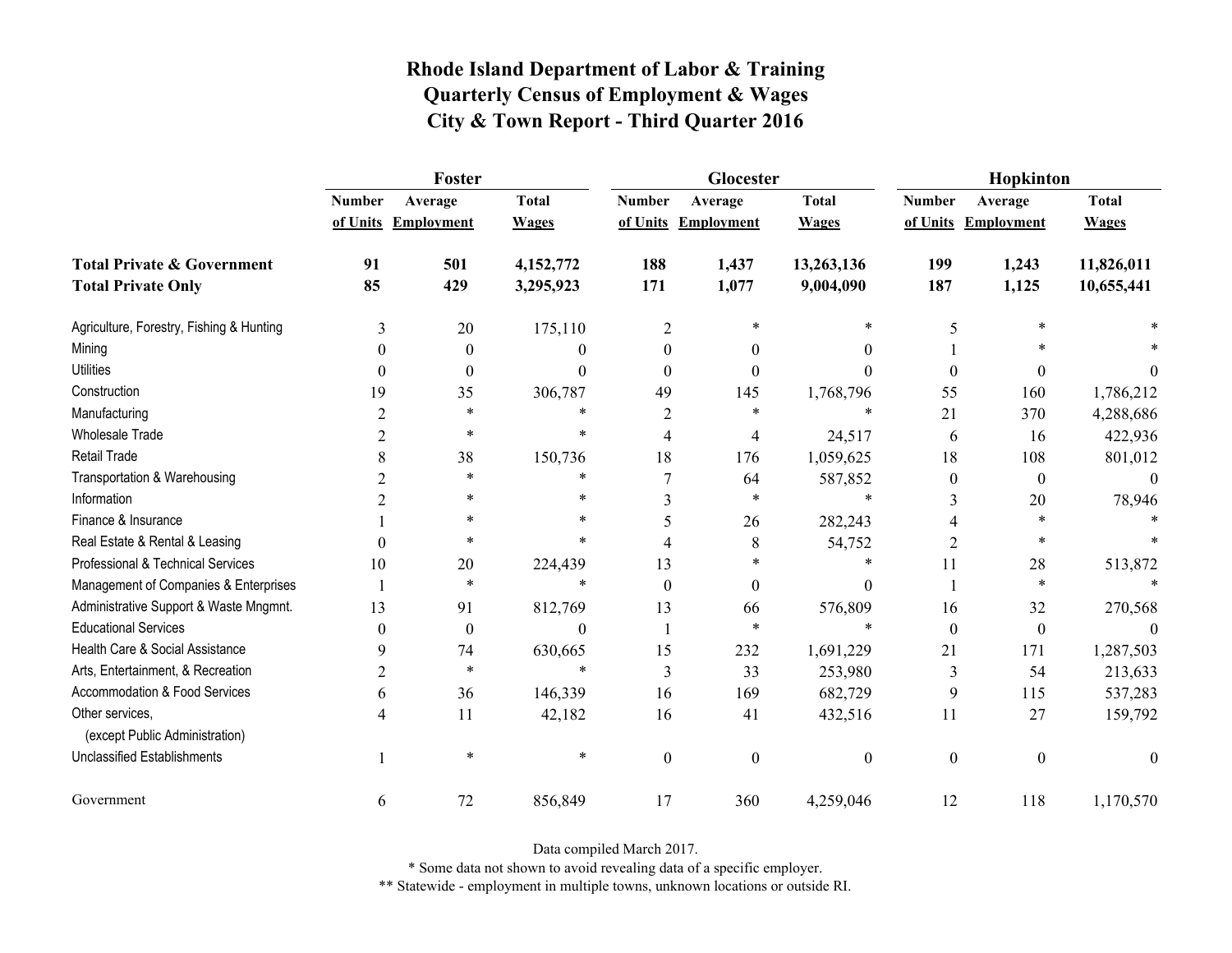|                                                   | Foster         |                     |              |                | Glocester           |                  | Hopkinton        |                     |                  |
|---------------------------------------------------|----------------|---------------------|--------------|----------------|---------------------|------------------|------------------|---------------------|------------------|
|                                                   | <b>Number</b>  | Average             | <b>Total</b> | <b>Number</b>  | Average             | <b>Total</b>     | <b>Number</b>    | Average             | <b>Total</b>     |
|                                                   |                | of Units Employment | <b>Wages</b> |                | of Units Employment | <b>Wages</b>     |                  | of Units Employment | <b>Wages</b>     |
| <b>Total Private &amp; Government</b>             | 91             | 501                 | 4,152,772    | 188            | 1,437               | 13,263,136       | 199              | 1,243               | 11,826,011       |
| <b>Total Private Only</b>                         | 85             | 429                 | 3,295,923    | 171            | 1,077               | 9,004,090        | 187              | 1,125               | 10,655,441       |
| Agriculture, Forestry, Fishing & Hunting          | 3              | 20                  | 175,110      | $\overline{2}$ |                     | *                | 5                |                     |                  |
| Mining                                            | $\theta$       | $\theta$            | 0            | $\theta$       | $\theta$            | $\theta$         |                  |                     |                  |
| <b>Utilities</b>                                  | $\theta$       | $\boldsymbol{0}$    | $\theta$     | $\theta$       | $\theta$            | $\theta$         | $\boldsymbol{0}$ | 0                   | $\theta$         |
| Construction                                      | 19             | 35                  | 306,787      | 49             | 145                 | 1,768,796        | 55               | 160                 | 1,786,212        |
| Manufacturing                                     | $\overline{2}$ | $\ast$              | *            | 2              | $\ast$              | $\ast$           | 21               | 370                 | 4,288,686        |
| <b>Wholesale Trade</b>                            | 2              | *                   | $\ast$       | 4              | $\overline{4}$      | 24,517           | 6                | 16                  | 422,936          |
| Retail Trade                                      | 8              | 38                  | 150,736      | 18             | 176                 | 1,059,625        | 18               | 108                 | 801,012          |
| Transportation & Warehousing                      | 2              | $\ast$              | *            | 7              | 64                  | 587,852          | $\boldsymbol{0}$ | $\boldsymbol{0}$    | $\boldsymbol{0}$ |
| Information                                       | 2              | *                   | $\ast$       | 3              | $\ast$              | $\ast$           | 3                | 20                  | 78,946           |
| Finance & Insurance                               |                | $\ast$              | *            | 5              | 26                  | 282,243          | 4                | $\ast$              |                  |
| Real Estate & Rental & Leasing                    | $\theta$       | *                   | *            | 4              | 8                   | 54,752           | 2                | $\ast$              |                  |
| Professional & Technical Services                 | 10             | 20                  | 224,439      | 13             | $\ast$              | *                | 11               | 28                  | 513,872          |
| Management of Companies & Enterprises             | 1              | $\ast$              | $\ast$       | $\Omega$       | $\theta$            | $\mathbf{0}$     |                  | $\ast$              |                  |
| Administrative Support & Waste Mngmnt.            | 13             | 91                  | 812,769      | 13             | 66                  | 576,809          | 16               | 32                  | 270,568          |
| <b>Educational Services</b>                       | $\theta$       | $\boldsymbol{0}$    | $\Omega$     |                | $\ast$              | $\ast$           | $\boldsymbol{0}$ | $\boldsymbol{0}$    |                  |
| Health Care & Social Assistance                   | 9              | 74                  | 630,665      | 15             | 232                 | 1,691,229        | 21               | 171                 | 1,287,503        |
| Arts, Entertainment, & Recreation                 | $\overline{2}$ | $\ast$              | $\ast$       | 3              | 33                  | 253,980          | 3                | 54                  | 213,633          |
| Accommodation & Food Services                     | 6              | 36                  | 146,339      | 16             | 169                 | 682,729          | 9                | 115                 | 537,283          |
| Other services,<br>(except Public Administration) | 4              | 11                  | 42,182       | 16             | 41                  | 432,516          | 11               | 27                  | 159,792          |
| <b>Unclassified Establishments</b>                |                | $\ast$              | $\ast$       | $\mathbf{0}$   | $\mathbf{0}$        | $\boldsymbol{0}$ | $\boldsymbol{0}$ | $\boldsymbol{0}$    | $\mathbf{0}$     |
| Government                                        | 6              | 72                  | 856,849      | 17             | 360                 | 4,259,046        | 12               | 118                 | 1,170,570        |

Data compiled March 2017.

\* Some data not shown to avoid revealing data of a specific employer.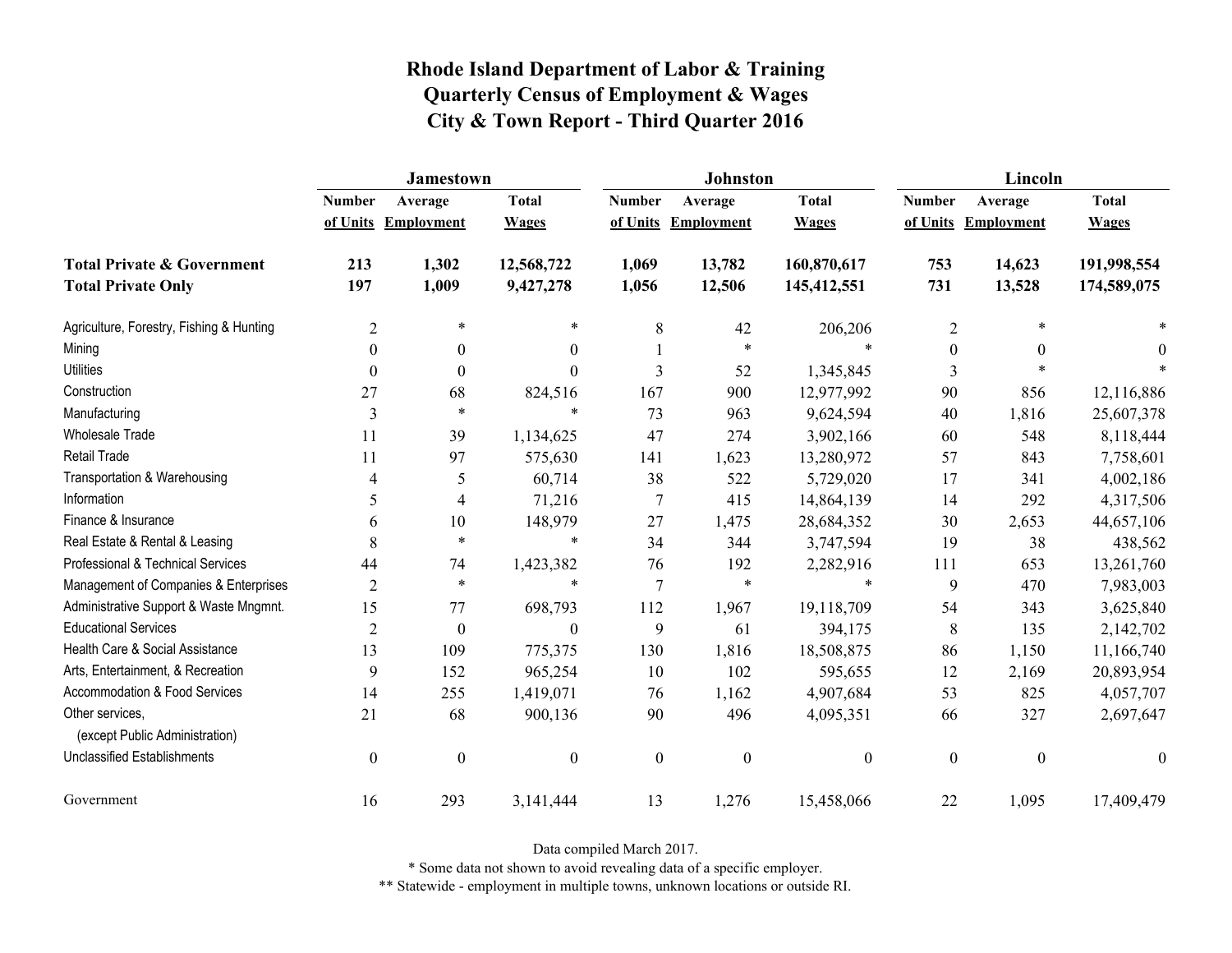|                                                   | <b>Jamestown</b> |                     |                  |                  | Johnston          |                  | Lincoln          |                   |                  |
|---------------------------------------------------|------------------|---------------------|------------------|------------------|-------------------|------------------|------------------|-------------------|------------------|
|                                                   | <b>Number</b>    | Average             | <b>Total</b>     | <b>Number</b>    | Average           | <b>Total</b>     | <b>Number</b>    | Average           | <b>Total</b>     |
|                                                   |                  | of Units Employment | <b>Wages</b>     | of Units         | <b>Employment</b> | <b>Wages</b>     | of Units         | <b>Employment</b> | <b>Wages</b>     |
| <b>Total Private &amp; Government</b>             | 213              | 1,302               | 12,568,722       | 1,069            | 13,782            | 160,870,617      | 753              | 14,623            | 191,998,554      |
| <b>Total Private Only</b>                         | 197              | 1,009               | 9,427,278        | 1,056            | 12,506            | 145,412,551      | 731              | 13,528            | 174,589,075      |
| Agriculture, Forestry, Fishing & Hunting          | $\overline{c}$   | $\ast$              | $\ast$           | 8                | 42                | 206,206          | $\overline{2}$   | $\ast$            |                  |
| Mining                                            | $\theta$         | $\theta$            | $\overline{0}$   |                  | $\ast$            | $\ast$           | $\boldsymbol{0}$ | $\theta$          | $\theta$         |
| <b>Utilities</b>                                  | $\theta$         | $\theta$            | $\boldsymbol{0}$ | 3                | 52                | 1,345,845        | 3                | $\ast$            |                  |
| Construction                                      | 27               | 68                  | 824,516          | 167              | 900               | 12,977,992       | 90               | 856               | 12,116,886       |
| Manufacturing                                     | 3                | $\ast$              | $\ast$           | 73               | 963               | 9,624,594        | 40               | 1,816             | 25,607,378       |
| <b>Wholesale Trade</b>                            | 11               | 39                  | 1,134,625        | 47               | 274               | 3,902,166        | 60               | 548               | 8,118,444        |
| <b>Retail Trade</b>                               | 11               | 97                  | 575,630          | 141              | 1,623             | 13,280,972       | 57               | 843               | 7,758,601        |
| Transportation & Warehousing                      | 4                | 5                   | 60,714           | 38               | 522               | 5,729,020        | 17               | 341               | 4,002,186        |
| Information                                       | 5                | 4                   | 71,216           | $\overline{7}$   | 415               | 14,864,139       | 14               | 292               | 4,317,506        |
| Finance & Insurance                               | 6                | 10                  | 148,979          | 27               | 1,475             | 28,684,352       | 30               | 2,653             | 44,657,106       |
| Real Estate & Rental & Leasing                    | 8                | $\ast$              | $\ast$           | 34               | 344               | 3,747,594        | 19               | 38                | 438,562          |
| Professional & Technical Services                 | 44               | 74                  | 1,423,382        | 76               | 192               | 2,282,916        | 111              | 653               | 13,261,760       |
| Management of Companies & Enterprises             | $\overline{2}$   | $\ast$              | $\ast$           | $\overline{7}$   | $\ast$            | $\ast$           | 9                | 470               | 7,983,003        |
| Administrative Support & Waste Mngmnt.            | 15               | 77                  | 698,793          | 112              | 1,967             | 19,118,709       | 54               | 343               | 3,625,840        |
| <b>Educational Services</b>                       | 2                | $\boldsymbol{0}$    | $\theta$         | 9                | 61                | 394,175          | 8                | 135               | 2,142,702        |
| Health Care & Social Assistance                   | 13               | 109                 | 775,375          | 130              | 1,816             | 18,508,875       | 86               | 1,150             | 11,166,740       |
| Arts, Entertainment, & Recreation                 | 9                | 152                 | 965,254          | 10               | 102               | 595,655          | 12               | 2,169             | 20,893,954       |
| Accommodation & Food Services                     | 14               | 255                 | 1,419,071        | 76               | 1,162             | 4,907,684        | 53               | 825               | 4,057,707        |
| Other services,<br>(except Public Administration) | 21               | 68                  | 900,136          | 90               | 496               | 4,095,351        | 66               | 327               | 2,697,647        |
| <b>Unclassified Establishments</b>                | $\boldsymbol{0}$ | $\boldsymbol{0}$    | $\boldsymbol{0}$ | $\boldsymbol{0}$ | $\boldsymbol{0}$  | $\boldsymbol{0}$ | $\boldsymbol{0}$ | $\boldsymbol{0}$  | $\boldsymbol{0}$ |
| Government                                        | 16               | 293                 | 3,141,444        | 13               | 1,276             | 15,458,066       | 22               | 1,095             | 17,409,479       |

Data compiled March 2017.

\* Some data not shown to avoid revealing data of a specific employer.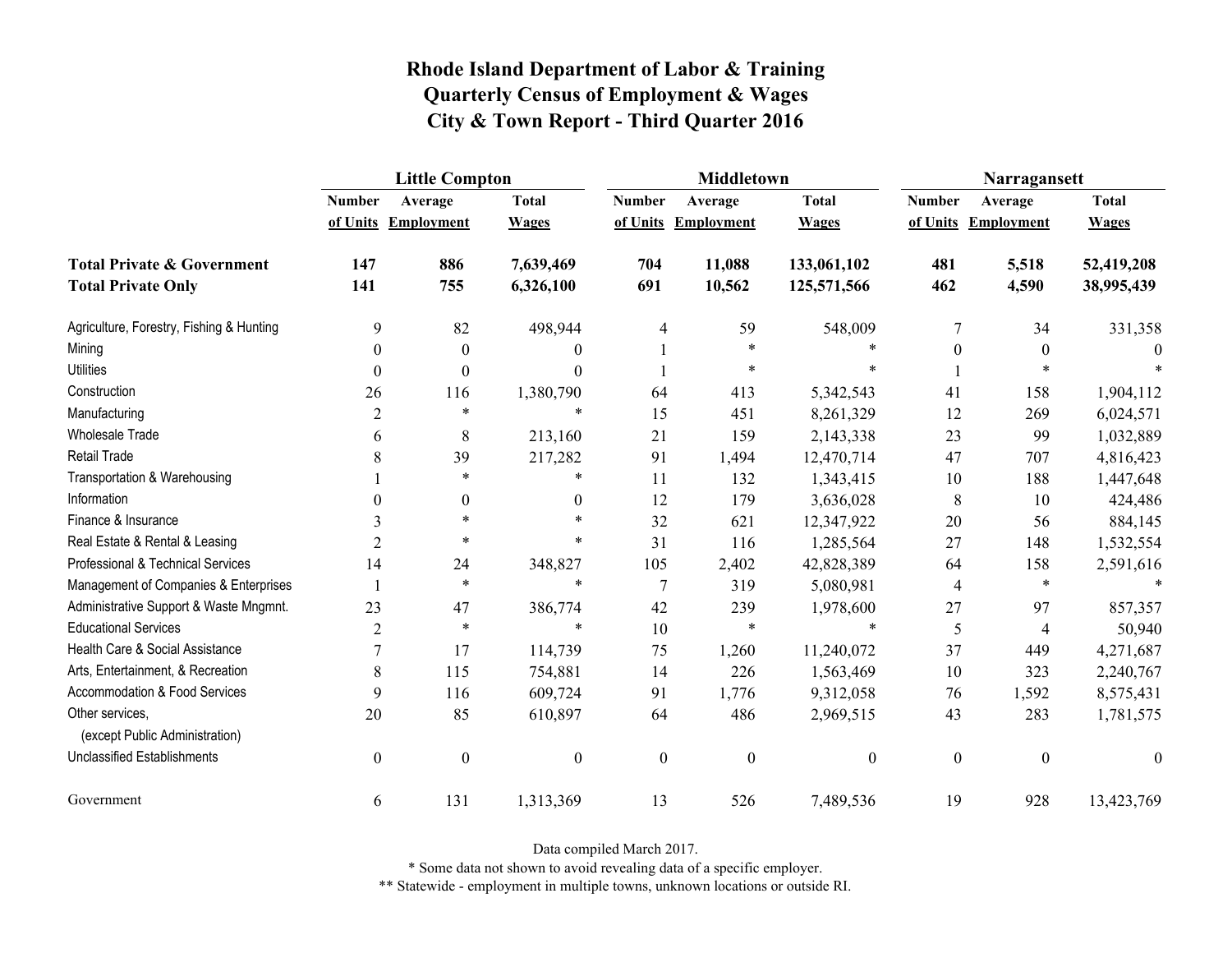|                                                   | <b>Little Compton</b> |                   |                  |                  | <b>Middletown</b>   |                  | Narragansett     |                     |                  |
|---------------------------------------------------|-----------------------|-------------------|------------------|------------------|---------------------|------------------|------------------|---------------------|------------------|
|                                                   | <b>Number</b>         | Average           | <b>Total</b>     | <b>Number</b>    | Average             | <b>Total</b>     | <b>Number</b>    | Average             | <b>Total</b>     |
|                                                   | of Units              | <b>Employment</b> | <b>Wages</b>     |                  | of Units Employment | <b>Wages</b>     |                  | of Units Employment | <b>Wages</b>     |
| <b>Total Private &amp; Government</b>             | 147                   | 886               | 7,639,469        | 704              | 11,088              | 133,061,102      | 481              | 5,518               | 52,419,208       |
| <b>Total Private Only</b>                         | 141                   | 755               | 6,326,100        | 691              | 10,562              | 125,571,566      | 462              | 4,590               | 38,995,439       |
| Agriculture, Forestry, Fishing & Hunting          | 9                     | 82                | 498,944          | 4                | 59                  | 548,009          | 7                | 34                  | 331,358          |
| Mining                                            | $\boldsymbol{0}$      | $\boldsymbol{0}$  | $\theta$         |                  | $\ast$              | $\ast$           | $\boldsymbol{0}$ | $\boldsymbol{0}$    | 0                |
| <b>Utilities</b>                                  | $\theta$              | $\theta$          | $\Omega$         |                  | $\ast$              | $\ast$           |                  | $\ast$              |                  |
| Construction                                      | 26                    | 116               | 1,380,790        | 64               | 413                 | 5,342,543        | 41               | 158                 | 1,904,112        |
| Manufacturing                                     | $\overline{2}$        | $\ast$            | $\ast$           | 15               | 451                 | 8,261,329        | 12               | 269                 | 6,024,571        |
| Wholesale Trade                                   | 6                     | 8                 | 213,160          | 21               | 159                 | 2,143,338        | 23               | 99                  | 1,032,889        |
| Retail Trade                                      | 8                     | 39                | 217,282          | 91               | 1,494               | 12,470,714       | 47               | 707                 | 4,816,423        |
| Transportation & Warehousing                      |                       | $\ast$            | $\ast$           | 11               | 132                 | 1,343,415        | 10               | 188                 | 1,447,648        |
| Information                                       | 0                     | $\overline{0}$    | $\theta$         | 12               | 179                 | 3,636,028        | 8                | 10                  | 424,486          |
| Finance & Insurance                               | 3                     | $\ast$            |                  | 32               | 621                 | 12,347,922       | 20               | 56                  | 884,145          |
| Real Estate & Rental & Leasing                    | $\overline{2}$        | $\ast$            | $\ast$           | 31               | 116                 | 1,285,564        | 27               | 148                 | 1,532,554        |
| Professional & Technical Services                 | 14                    | 24                | 348,827          | 105              | 2,402               | 42,828,389       | 64               | 158                 | 2,591,616        |
| Management of Companies & Enterprises             |                       | $\ast$            | $\ast$           | $\tau$           | 319                 | 5,080,981        | 4                | $\ast$              | $\ast$           |
| Administrative Support & Waste Mngmnt.            | 23                    | 47                | 386,774          | 42               | 239                 | 1,978,600        | 27               | 97                  | 857,357          |
| <b>Educational Services</b>                       | $\overline{2}$        | $\ast$            | $\ast$           | 10               | $\ast$              | $\ast$           | 5                | $\overline{4}$      | 50,940           |
| Health Care & Social Assistance                   | $\overline{7}$        | 17                | 114,739          | 75               | 1,260               | 11,240,072       | 37               | 449                 | 4,271,687        |
| Arts, Entertainment, & Recreation                 | 8                     | 115               | 754,881          | 14               | 226                 | 1,563,469        | 10               | 323                 | 2,240,767        |
| <b>Accommodation &amp; Food Services</b>          | 9                     | 116               | 609,724          | 91               | 1,776               | 9,312,058        | 76               | 1,592               | 8,575,431        |
| Other services,<br>(except Public Administration) | 20                    | 85                | 610,897          | 64               | 486                 | 2,969,515        | 43               | 283                 | 1,781,575        |
| <b>Unclassified Establishments</b>                | $\boldsymbol{0}$      | $\boldsymbol{0}$  | $\boldsymbol{0}$ | $\boldsymbol{0}$ | $\boldsymbol{0}$    | $\boldsymbol{0}$ | $\boldsymbol{0}$ | $\boldsymbol{0}$    | $\boldsymbol{0}$ |
| Government                                        | 6                     | 131               | 1,313,369        | 13               | 526                 | 7,489,536        | 19               | 928                 | 13,423,769       |

Data compiled March 2017.

\* Some data not shown to avoid revealing data of a specific employer.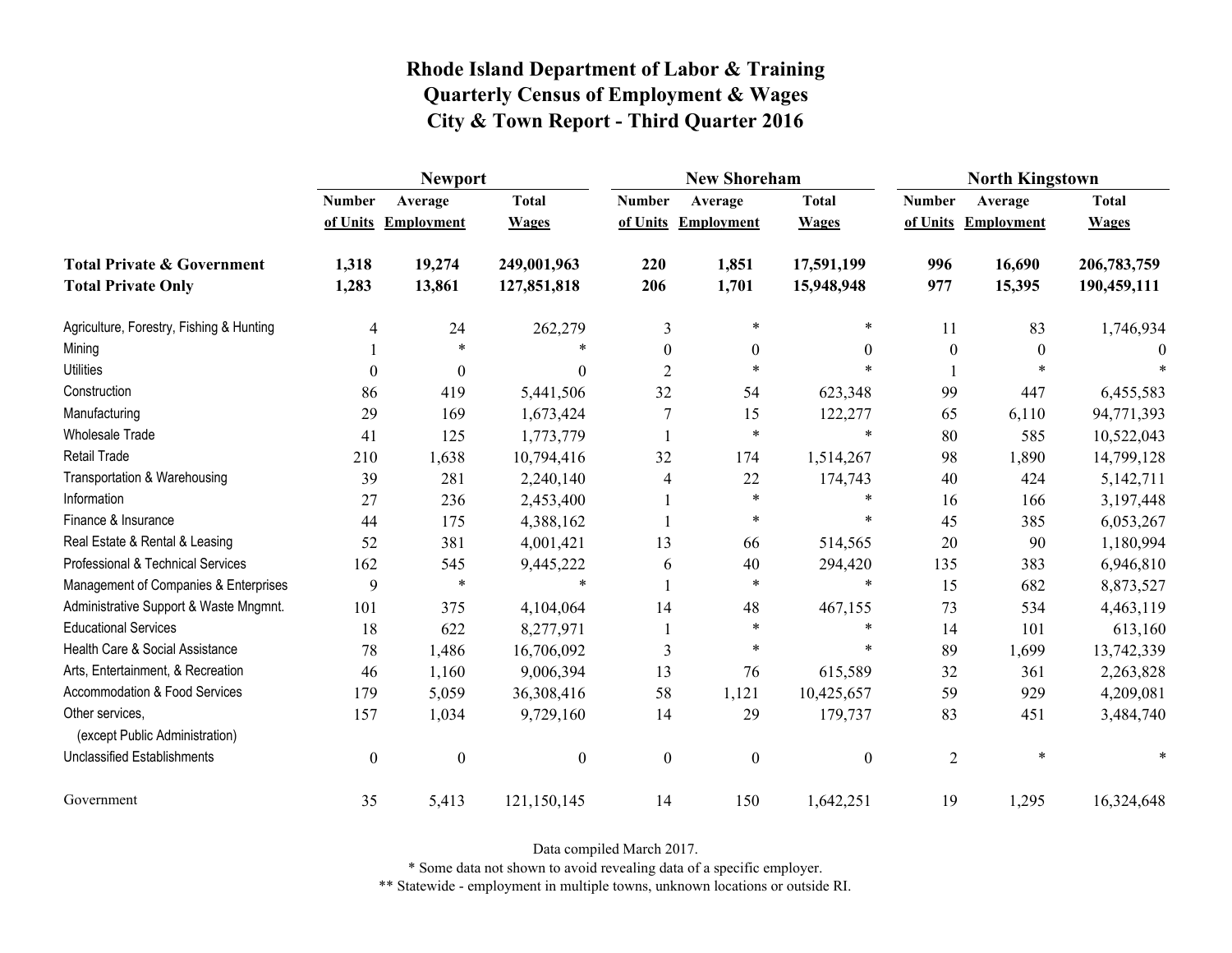|                                                   | <b>Newport</b>   |                     |                  |                  | <b>New Shoreham</b> |                  | <b>North Kingstown</b> |                     |              |
|---------------------------------------------------|------------------|---------------------|------------------|------------------|---------------------|------------------|------------------------|---------------------|--------------|
|                                                   | <b>Number</b>    | Average             | <b>Total</b>     | <b>Number</b>    | Average             | <b>Total</b>     | <b>Number</b>          | Average             | <b>Total</b> |
|                                                   |                  | of Units Employment | <b>Wages</b>     |                  | of Units Employment | <b>Wages</b>     |                        | of Units Employment | <b>Wages</b> |
| <b>Total Private &amp; Government</b>             | 1,318            | 19,274              | 249,001,963      | 220              | 1,851               | 17,591,199       | 996                    | 16,690              | 206,783,759  |
| <b>Total Private Only</b>                         | 1,283            | 13,861              | 127,851,818      | 206              | 1,701               | 15,948,948       | 977                    | 15,395              | 190,459,111  |
| Agriculture, Forestry, Fishing & Hunting          | 4                | 24                  | 262,279          | 3                | $\ast$              | $\ast$           | 11                     | 83                  | 1,746,934    |
| Mining                                            |                  | $\ast$              | $\ast$           | $\theta$         | $\theta$            | $\theta$         | $\boldsymbol{0}$       | $\theta$            |              |
| <b>Utilities</b>                                  | $\mathbf{0}$     | $\theta$            | 0                | $\overline{2}$   | $\ast$              |                  |                        | $\ast$              |              |
| Construction                                      | 86               | 419                 | 5,441,506        | 32               | 54                  | 623,348          | 99                     | 447                 | 6,455,583    |
| Manufacturing                                     | 29               | 169                 | 1,673,424        | 7                | 15                  | 122,277          | 65                     | 6,110               | 94,771,393   |
| Wholesale Trade                                   | 41               | 125                 | 1,773,779        |                  | $\ast$              | $\ast$           | 80                     | 585                 | 10,522,043   |
| <b>Retail Trade</b>                               | 210              | 1,638               | 10,794,416       | 32               | 174                 | 1,514,267        | 98                     | 1,890               | 14,799,128   |
| Transportation & Warehousing                      | 39               | 281                 | 2,240,140        | 4                | 22                  | 174,743          | 40                     | 424                 | 5,142,711    |
| Information                                       | 27               | 236                 | 2,453,400        |                  | $\ast$              | $\ast$           | 16                     | 166                 | 3,197,448    |
| Finance & Insurance                               | 44               | 175                 | 4,388,162        |                  | $\ast$              | $\ast$           | 45                     | 385                 | 6,053,267    |
| Real Estate & Rental & Leasing                    | 52               | 381                 | 4,001,421        | 13               | 66                  | 514,565          | 20                     | 90                  | 1,180,994    |
| Professional & Technical Services                 | 162              | 545                 | 9,445,222        | 6                | 40                  | 294,420          | 135                    | 383                 | 6,946,810    |
| Management of Companies & Enterprises             | 9                | $\ast$              | $\ast$           |                  | $\ast$              | $\ast$           | 15                     | 682                 | 8,873,527    |
| Administrative Support & Waste Mngmnt.            | 101              | 375                 | 4,104,064        | 14               | 48                  | 467,155          | 73                     | 534                 | 4,463,119    |
| <b>Educational Services</b>                       | 18               | 622                 | 8,277,971        |                  | $\ast$              | $\ast$           | 14                     | 101                 | 613,160      |
| Health Care & Social Assistance                   | 78               | 1,486               | 16,706,092       | 3                | $\ast$              | $\ast$           | 89                     | 1,699               | 13,742,339   |
| Arts, Entertainment, & Recreation                 | 46               | 1,160               | 9,006,394        | 13               | 76                  | 615,589          | 32                     | 361                 | 2,263,828    |
| Accommodation & Food Services                     | 179              | 5,059               | 36,308,416       | 58               | 1,121               | 10,425,657       | 59                     | 929                 | 4,209,081    |
| Other services,<br>(except Public Administration) | 157              | 1,034               | 9,729,160        | 14               | 29                  | 179,737          | 83                     | 451                 | 3,484,740    |
| <b>Unclassified Establishments</b>                | $\boldsymbol{0}$ | $\boldsymbol{0}$    | $\boldsymbol{0}$ | $\boldsymbol{0}$ | $\boldsymbol{0}$    | $\boldsymbol{0}$ | $\overline{2}$         | $\ast$              |              |
| Government                                        | 35               | 5,413               | 121,150,145      | 14               | 150                 | 1,642,251        | 19                     | 1,295               | 16,324,648   |

Data compiled March 2017.

\* Some data not shown to avoid revealing data of a specific employer.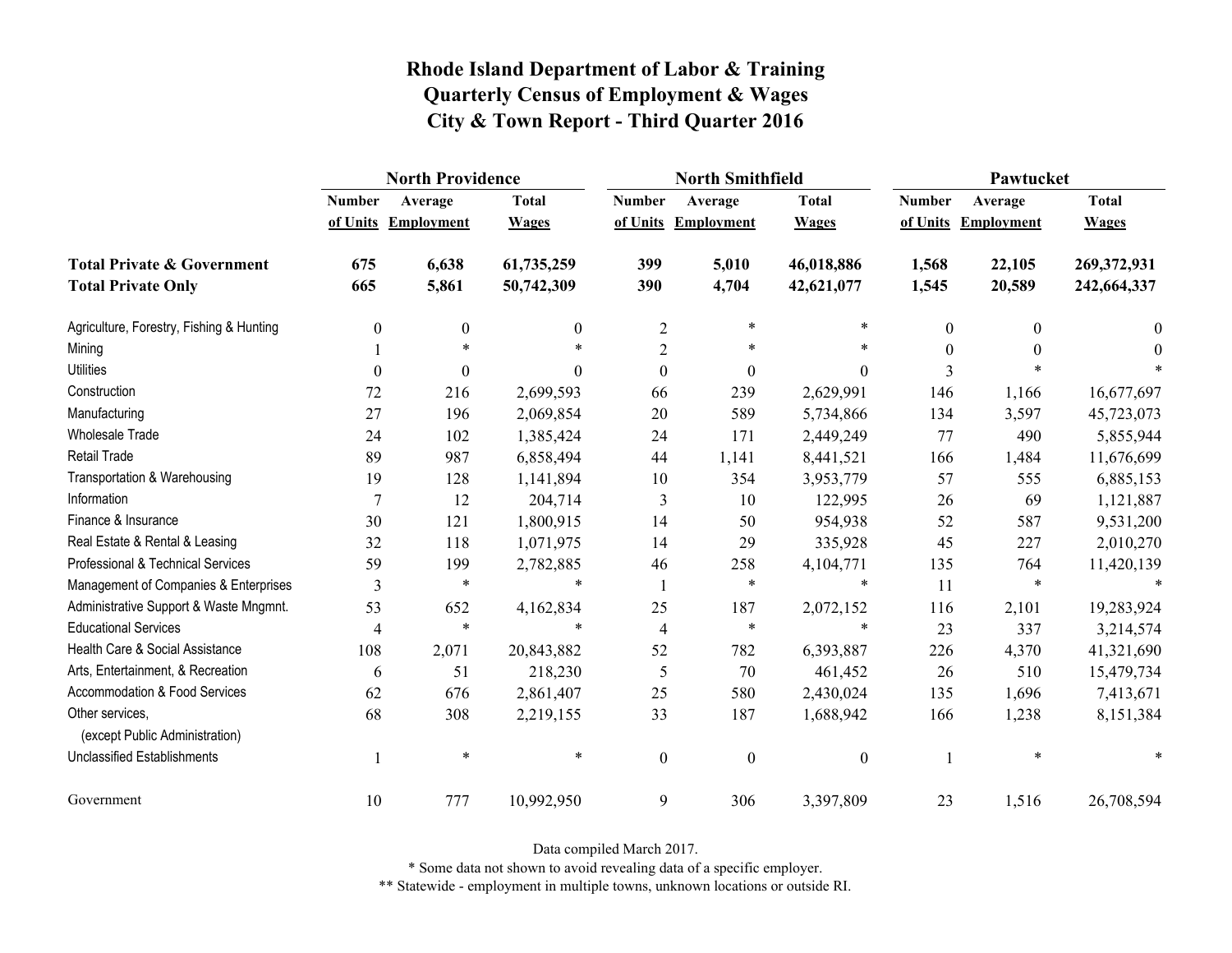|                                                   | <b>North Providence</b> |                     |                  |                  | <b>North Smithfield</b> |                  | Pawtucket     |                     |              |
|---------------------------------------------------|-------------------------|---------------------|------------------|------------------|-------------------------|------------------|---------------|---------------------|--------------|
|                                                   | <b>Number</b>           | Average             | <b>Total</b>     | <b>Number</b>    | Average                 | <b>Total</b>     | <b>Number</b> | Average             | <b>Total</b> |
|                                                   |                         | of Units Employment | <b>Wages</b>     |                  | of Units Employment     | <b>Wages</b>     |               | of Units Employment | <b>Wages</b> |
| <b>Total Private &amp; Government</b>             | 675                     | 6,638               | 61,735,259       | 399              | 5,010                   | 46,018,886       | 1,568         | 22,105              | 269,372,931  |
| <b>Total Private Only</b>                         | 665                     | 5,861               | 50,742,309       | 390              | 4,704                   | 42,621,077       | 1,545         | 20,589              | 242,664,337  |
| Agriculture, Forestry, Fishing & Hunting          | $\boldsymbol{0}$        | $\boldsymbol{0}$    | $\boldsymbol{0}$ | $\overline{2}$   | $\ast$                  | $\ast$           | 0             | $\theta$            | $\theta$     |
| Mining                                            |                         | $\ast$              |                  | $\overline{2}$   | $\ast$                  | *                | $\Omega$      | $\Omega$            | $\Omega$     |
| <b>Utilities</b>                                  | $\boldsymbol{0}$        | $\boldsymbol{0}$    | $\theta$         | $\boldsymbol{0}$ | $\boldsymbol{0}$        | $\boldsymbol{0}$ | 3             |                     |              |
| Construction                                      | 72                      | 216                 | 2,699,593        | 66               | 239                     | 2,629,991        | 146           | 1,166               | 16,677,697   |
| Manufacturing                                     | 27                      | 196                 | 2,069,854        | 20               | 589                     | 5,734,866        | 134           | 3,597               | 45,723,073   |
| <b>Wholesale Trade</b>                            | 24                      | 102                 | 1,385,424        | 24               | 171                     | 2,449,249        | 77            | 490                 | 5,855,944    |
| <b>Retail Trade</b>                               | 89                      | 987                 | 6,858,494        | 44               | 1,141                   | 8,441,521        | 166           | 1,484               | 11,676,699   |
| Transportation & Warehousing                      | 19                      | 128                 | 1,141,894        | 10               | 354                     | 3,953,779        | 57            | 555                 | 6,885,153    |
| Information                                       | $\overline{7}$          | 12                  | 204,714          | 3                | 10                      | 122,995          | 26            | 69                  | 1,121,887    |
| Finance & Insurance                               | 30                      | 121                 | 1,800,915        | 14               | 50                      | 954,938          | 52            | 587                 | 9,531,200    |
| Real Estate & Rental & Leasing                    | 32                      | 118                 | 1,071,975        | 14               | 29                      | 335,928          | 45            | 227                 | 2,010,270    |
| Professional & Technical Services                 | 59                      | 199                 | 2,782,885        | 46               | 258                     | 4,104,771        | 135           | 764                 | 11,420,139   |
| Management of Companies & Enterprises             | 3                       | $\ast$              | $\ast$           |                  | $\ast$                  | $\ast$           | 11            | $\ast$              | $\ast$       |
| Administrative Support & Waste Mngmnt.            | 53                      | 652                 | 4,162,834        | 25               | 187                     | 2,072,152        | 116           | 2,101               | 19,283,924   |
| <b>Educational Services</b>                       | $\overline{4}$          | $\ast$              | $\ast$           | $\overline{4}$   | $\ast$                  | *                | 23            | 337                 | 3,214,574    |
| Health Care & Social Assistance                   | 108                     | 2,071               | 20,843,882       | 52               | 782                     | 6,393,887        | 226           | 4,370               | 41,321,690   |
| Arts, Entertainment, & Recreation                 | 6                       | 51                  | 218,230          | 5                | 70                      | 461,452          | 26            | 510                 | 15,479,734   |
| Accommodation & Food Services                     | 62                      | 676                 | 2,861,407        | 25               | 580                     | 2,430,024        | 135           | 1,696               | 7,413,671    |
| Other services,<br>(except Public Administration) | 68                      | 308                 | 2,219,155        | 33               | 187                     | 1,688,942        | 166           | 1,238               | 8,151,384    |
| <b>Unclassified Establishments</b>                |                         | $\ast$              | $\ast$           | $\boldsymbol{0}$ | $\boldsymbol{0}$        | $\boldsymbol{0}$ |               | $\ast$              | *            |
| Government                                        | 10                      | 777                 | 10,992,950       | 9                | 306                     | 3,397,809        | 23            | 1,516               | 26,708,594   |

Data compiled March 2017.

\* Some data not shown to avoid revealing data of a specific employer.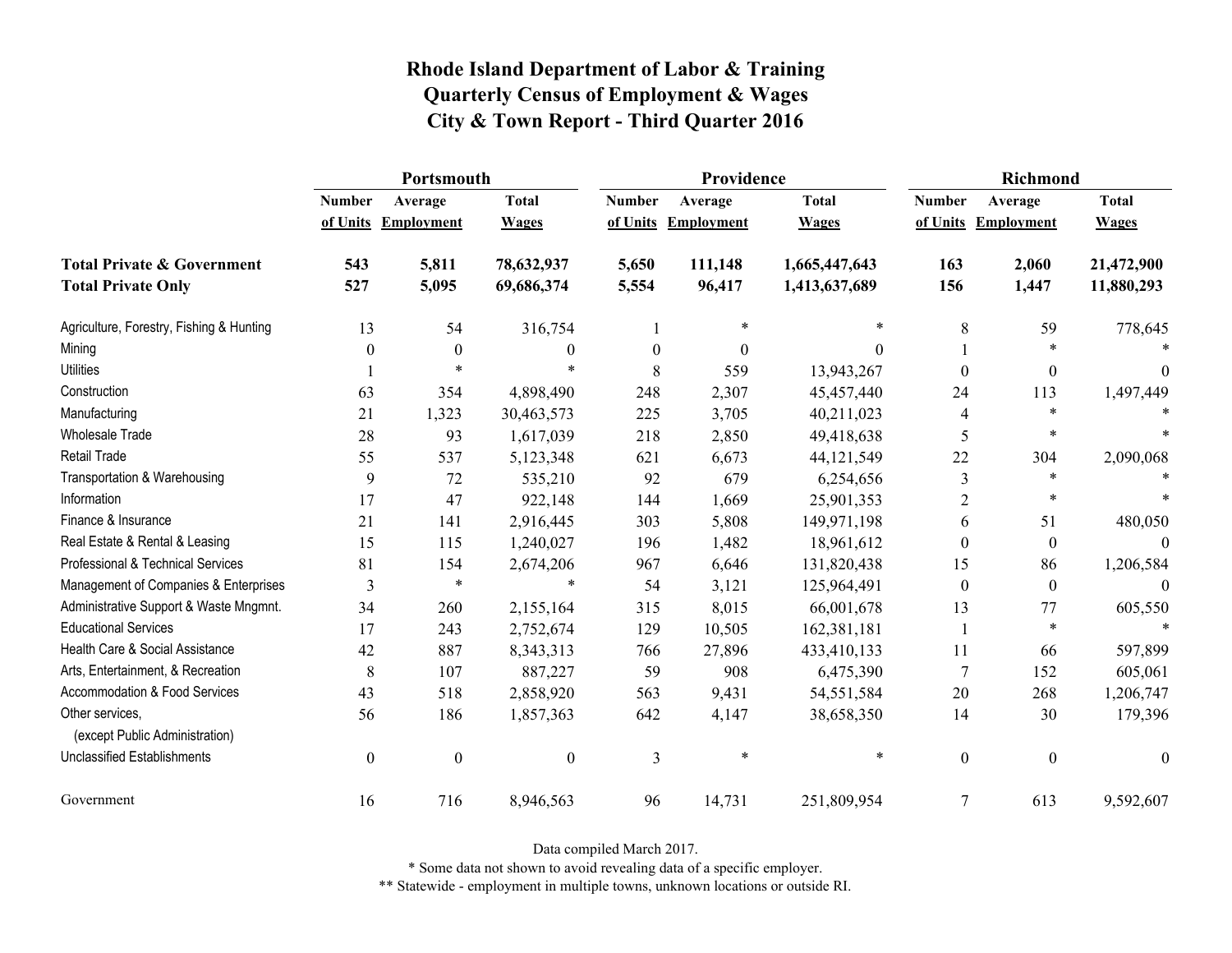|                                                   | Portsmouth       |                     |                  |                  | Providence          |               | <b>Richmond</b>          |                     |                  |
|---------------------------------------------------|------------------|---------------------|------------------|------------------|---------------------|---------------|--------------------------|---------------------|------------------|
|                                                   | <b>Number</b>    | Average             | <b>Total</b>     | <b>Number</b>    | Average             | <b>Total</b>  | <b>Number</b>            | Average             | <b>Total</b>     |
|                                                   |                  | of Units Employment | <b>Wages</b>     |                  | of Units Employment | <b>Wages</b>  |                          | of Units Employment | <b>Wages</b>     |
| <b>Total Private &amp; Government</b>             | 543              | 5,811               | 78,632,937       | 5,650            | 111,148             | 1,665,447,643 | 163                      | 2,060               | 21,472,900       |
| <b>Total Private Only</b>                         | 527              | 5,095               | 69,686,374       | 5,554            | 96,417              | 1,413,637,689 | 156                      | 1,447               | 11,880,293       |
| Agriculture, Forestry, Fishing & Hunting          | 13               | 54                  | 316,754          |                  | $\ast$              | $\ast$        | 8                        | 59                  | 778,645          |
| Mining                                            | 0                | $\boldsymbol{0}$    | $\mathbf{0}$     | $\boldsymbol{0}$ | 0                   | $\Omega$      |                          | $\ast$              |                  |
| <b>Utilities</b>                                  |                  | $\ast$              | $\ast$           | 8                | 559                 | 13,943,267    | $\theta$                 | $\boldsymbol{0}$    | $\Omega$         |
| Construction                                      | 63               | 354                 | 4,898,490        | 248              | 2,307               | 45,457,440    | 24                       | 113                 | 1,497,449        |
| Manufacturing                                     | 21               | 1,323               | 30,463,573       | 225              | 3,705               | 40,211,023    | $\overline{\mathcal{A}}$ | $\ast$              |                  |
| <b>Wholesale Trade</b>                            | 28               | 93                  | 1,617,039        | 218              | 2,850               | 49,418,638    | 5                        | $\ast$              |                  |
| <b>Retail Trade</b>                               | 55               | 537                 | 5,123,348        | 621              | 6,673               | 44, 121, 549  | 22                       | 304                 | 2,090,068        |
| Transportation & Warehousing                      | 9                | 72                  | 535,210          | 92               | 679                 | 6,254,656     | 3                        | $\ast$              |                  |
| Information                                       | 17               | 47                  | 922,148          | 144              | 1,669               | 25,901,353    | $\overline{2}$           | $\ast$              |                  |
| Finance & Insurance                               | 21               | 141                 | 2,916,445        | 303              | 5,808               | 149,971,198   | 6                        | 51                  | 480,050          |
| Real Estate & Rental & Leasing                    | 15               | 115                 | 1,240,027        | 196              | 1,482               | 18,961,612    | $\Omega$                 | $\boldsymbol{0}$    |                  |
| Professional & Technical Services                 | 81               | 154                 | 2,674,206        | 967              | 6,646               | 131,820,438   | 15                       | 86                  | 1,206,584        |
| Management of Companies & Enterprises             | 3                | $\ast$              | $\ast$           | 54               | 3,121               | 125,964,491   | $\theta$                 | $\boldsymbol{0}$    | $\Omega$         |
| Administrative Support & Waste Mngmnt.            | 34               | 260                 | 2,155,164        | 315              | 8,015               | 66,001,678    | 13                       | 77                  | 605,550          |
| <b>Educational Services</b>                       | 17               | 243                 | 2,752,674        | 129              | 10,505              | 162,381,181   |                          | $\ast$              | $\ast$           |
| Health Care & Social Assistance                   | 42               | 887                 | 8,343,313        | 766              | 27,896              | 433,410,133   | 11                       | 66                  | 597,899          |
| Arts, Entertainment, & Recreation                 | 8                | 107                 | 887,227          | 59               | 908                 | 6,475,390     | $\overline{7}$           | 152                 | 605,061          |
| Accommodation & Food Services                     | 43               | 518                 | 2,858,920        | 563              | 9,431               | 54,551,584    | 20                       | 268                 | 1,206,747        |
| Other services,<br>(except Public Administration) | 56               | 186                 | 1,857,363        | 642              | 4,147               | 38,658,350    | 14                       | 30                  | 179,396          |
| <b>Unclassified Establishments</b>                | $\boldsymbol{0}$ | $\boldsymbol{0}$    | $\boldsymbol{0}$ | 3                | $\ast$              | $\ast$        | $\boldsymbol{0}$         | $\mathbf{0}$        | $\boldsymbol{0}$ |
| Government                                        | 16               | 716                 | 8,946,563        | 96               | 14,731              | 251,809,954   | 7                        | 613                 | 9,592,607        |

Data compiled March 2017.

\* Some data not shown to avoid revealing data of a specific employer.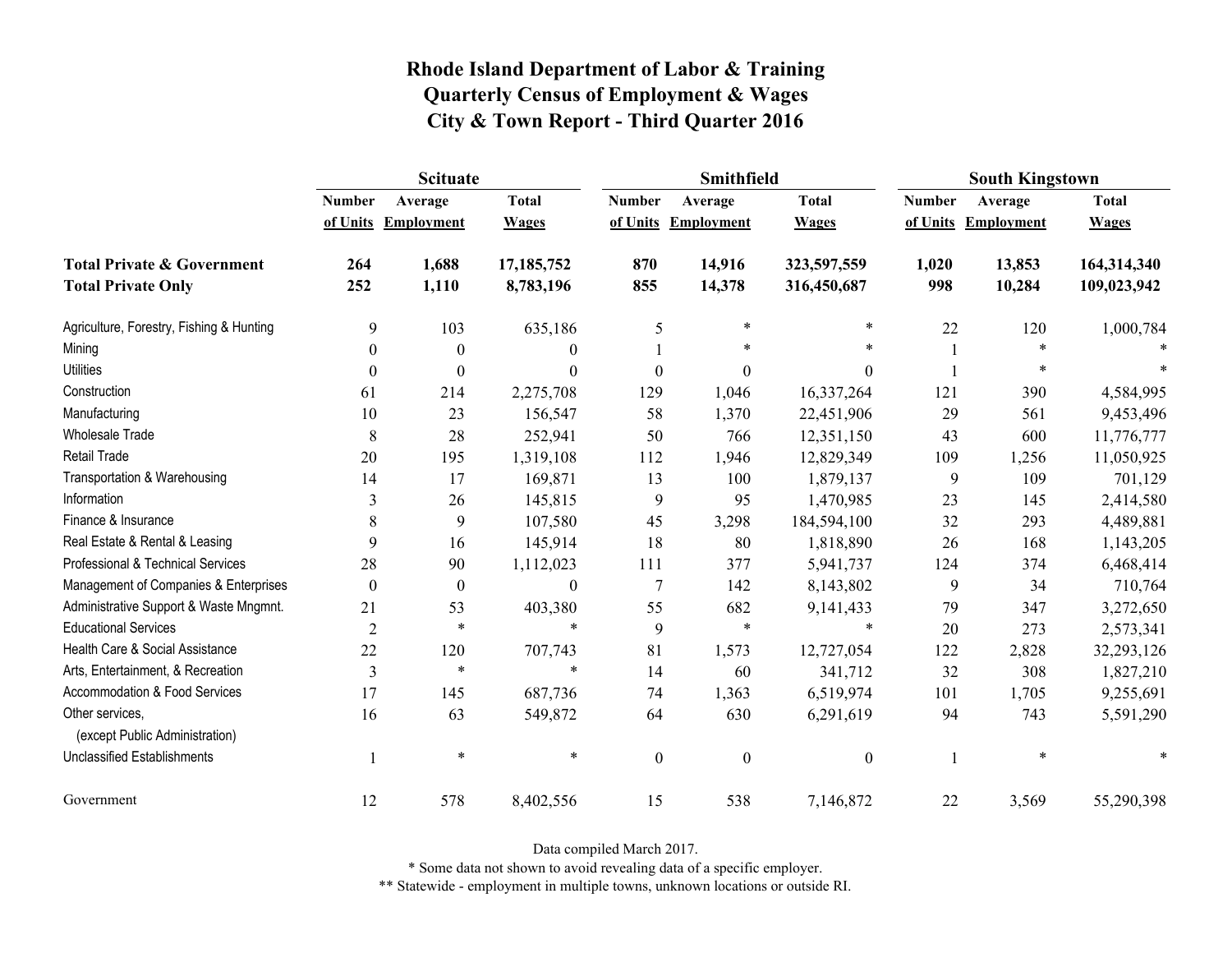|                                                   | <b>Scituate</b> |                     |                  |                  | Smithfield        |                  | <b>South Kingstown</b> |                     |              |
|---------------------------------------------------|-----------------|---------------------|------------------|------------------|-------------------|------------------|------------------------|---------------------|--------------|
|                                                   | <b>Number</b>   | Average             | <b>Total</b>     | <b>Number</b>    | Average           | <b>Total</b>     | <b>Number</b>          | Average             | <b>Total</b> |
|                                                   |                 | of Units Employment | <b>Wages</b>     | of Units         | <b>Employment</b> | <b>Wages</b>     |                        | of Units Employment | <b>Wages</b> |
| <b>Total Private &amp; Government</b>             | 264             | 1,688               | 17,185,752       | 870              | 14,916            | 323,597,559      | 1,020                  | 13,853              | 164,314,340  |
| <b>Total Private Only</b>                         | 252             | 1,110               | 8,783,196        | 855              | 14,378            | 316,450,687      | 998                    | 10,284              | 109,023,942  |
| Agriculture, Forestry, Fishing & Hunting          | 9               | 103                 | 635,186          | 5                | $\ast$            | $\ast$           | 22                     | 120                 | 1,000,784    |
| Mining                                            | $\theta$        | $\mathbf{0}$        | $\theta$         |                  | $\ast$            | $\ast$           |                        | $\ast$              |              |
| <b>Utilities</b>                                  | $\theta$        | $\theta$            | $\boldsymbol{0}$ | $\boldsymbol{0}$ | $\boldsymbol{0}$  | $\boldsymbol{0}$ |                        | $\ast$              |              |
| Construction                                      | 61              | 214                 | 2,275,708        | 129              | 1,046             | 16,337,264       | 121                    | 390                 | 4,584,995    |
| Manufacturing                                     | 10              | 23                  | 156,547          | 58               | 1,370             | 22,451,906       | 29                     | 561                 | 9,453,496    |
| Wholesale Trade                                   | 8               | 28                  | 252,941          | 50               | 766               | 12,351,150       | 43                     | 600                 | 11,776,777   |
| Retail Trade                                      | 20              | 195                 | 1,319,108        | 112              | 1,946             | 12,829,349       | 109                    | 1,256               | 11,050,925   |
| Transportation & Warehousing                      | 14              | 17                  | 169,871          | 13               | 100               | 1,879,137        | 9                      | 109                 | 701,129      |
| Information                                       | 3               | 26                  | 145,815          | 9                | 95                | 1,470,985        | 23                     | 145                 | 2,414,580    |
| Finance & Insurance                               | 8               | 9                   | 107,580          | 45               | 3,298             | 184,594,100      | 32                     | 293                 | 4,489,881    |
| Real Estate & Rental & Leasing                    | 9               | 16                  | 145,914          | 18               | 80                | 1,818,890        | 26                     | 168                 | 1,143,205    |
| Professional & Technical Services                 | 28              | 90                  | 1,112,023        | 111              | 377               | 5,941,737        | 124                    | 374                 | 6,468,414    |
| Management of Companies & Enterprises             | $\theta$        | $\theta$            | $\boldsymbol{0}$ | $\overline{7}$   | 142               | 8,143,802        | 9                      | 34                  | 710,764      |
| Administrative Support & Waste Mngmnt.            | 21              | 53                  | 403,380          | 55               | 682               | 9,141,433        | 79                     | 347                 | 3,272,650    |
| <b>Educational Services</b>                       | $\overline{2}$  | $\ast$              | $\ast$           | 9                | $\ast$            | $\ast$           | 20                     | 273                 | 2,573,341    |
| Health Care & Social Assistance                   | 22              | 120                 | 707,743          | 81               | 1,573             | 12,727,054       | 122                    | 2,828               | 32,293,126   |
| Arts, Entertainment, & Recreation                 | 3               | $\ast$              | $\ast$           | 14               | 60                | 341,712          | 32                     | 308                 | 1,827,210    |
| Accommodation & Food Services                     | 17              | 145                 | 687,736          | 74               | 1,363             | 6,519,974        | 101                    | 1,705               | 9,255,691    |
| Other services,<br>(except Public Administration) | 16              | 63                  | 549,872          | 64               | 630               | 6,291,619        | 94                     | 743                 | 5,591,290    |
| <b>Unclassified Establishments</b>                |                 | $\ast$              | $\ast$           | $\boldsymbol{0}$ | $\boldsymbol{0}$  | $\boldsymbol{0}$ |                        | $\ast$              |              |
| Government                                        | 12              | 578                 | 8,402,556        | 15               | 538               | 7,146,872        | 22                     | 3,569               | 55,290,398   |

Data compiled March 2017.

\* Some data not shown to avoid revealing data of a specific employer.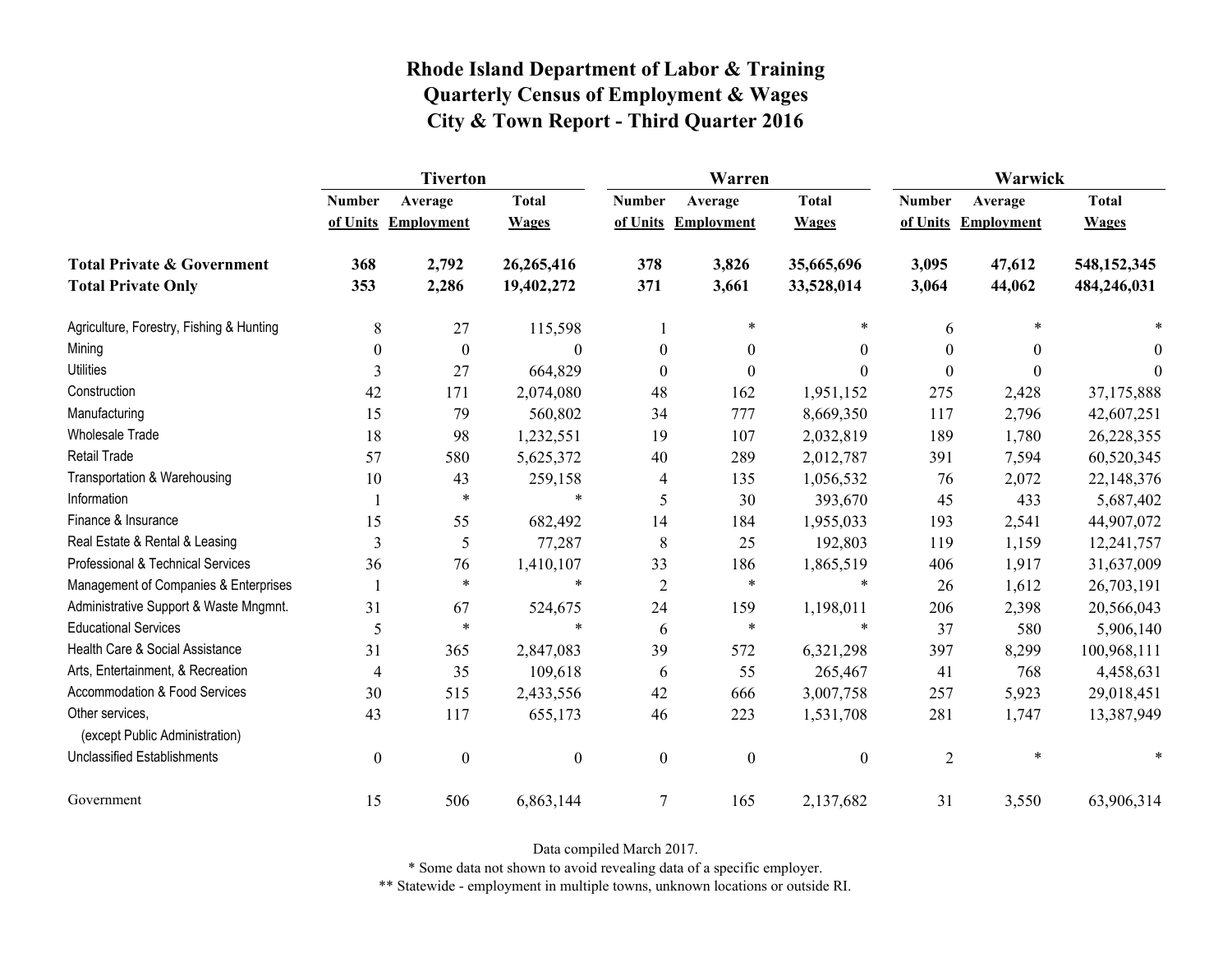|                                                   | <b>Tiverton</b>  |                     |                  |                  | Warren              |                  | Warwick        |                     |              |  |
|---------------------------------------------------|------------------|---------------------|------------------|------------------|---------------------|------------------|----------------|---------------------|--------------|--|
|                                                   | <b>Number</b>    | Average             | <b>Total</b>     | <b>Number</b>    | Average             | <b>Total</b>     | <b>Number</b>  | Average             | <b>Total</b> |  |
|                                                   |                  | of Units Employment | <b>Wages</b>     |                  | of Units Employment | <b>Wages</b>     |                | of Units Employment | <b>Wages</b> |  |
| <b>Total Private &amp; Government</b>             | 368              | 2,792               | 26,265,416       | 378              | 3,826               | 35,665,696       | 3,095          | 47,612              | 548,152,345  |  |
| <b>Total Private Only</b>                         | 353              | 2,286               | 19,402,272       | 371              | 3,661               | 33,528,014       | 3,064          | 44,062              | 484,246,031  |  |
| Agriculture, Forestry, Fishing & Hunting          | 8                | 27                  | 115,598          |                  | $\ast$              | $\ast$           | 6              | $\ast$              |              |  |
| Mining                                            | $\theta$         | $\boldsymbol{0}$    | $\Omega$         | $\theta$         | $\mathbf{0}$        | $\theta$         | 0              | $\theta$            | $\theta$     |  |
| <b>Utilities</b>                                  | 3                | 27                  | 664,829          | $\boldsymbol{0}$ | $\boldsymbol{0}$    | 0                | $\Omega$       | $\theta$            | $\Omega$     |  |
| Construction                                      | 42               | 171                 | 2,074,080        | 48               | 162                 | 1,951,152        | 275            | 2,428               | 37,175,888   |  |
| Manufacturing                                     | 15               | 79                  | 560,802          | 34               | 777                 | 8,669,350        | 117            | 2,796               | 42,607,251   |  |
| <b>Wholesale Trade</b>                            | 18               | 98                  | 1,232,551        | 19               | 107                 | 2,032,819        | 189            | 1,780               | 26,228,355   |  |
| <b>Retail Trade</b>                               | 57               | 580                 | 5,625,372        | 40               | 289                 | 2,012,787        | 391            | 7,594               | 60,520,345   |  |
| Transportation & Warehousing                      | 10               | 43                  | 259,158          | 4                | 135                 | 1,056,532        | 76             | 2,072               | 22,148,376   |  |
| Information                                       |                  | $\ast$              | $\ast$           | 5                | 30                  | 393,670          | 45             | 433                 | 5,687,402    |  |
| Finance & Insurance                               | 15               | 55                  | 682,492          | 14               | 184                 | 1,955,033        | 193            | 2,541               | 44,907,072   |  |
| Real Estate & Rental & Leasing                    | 3                | 5                   | 77,287           | 8                | 25                  | 192,803          | 119            | 1,159               | 12,241,757   |  |
| Professional & Technical Services                 | 36               | 76                  | 1,410,107        | 33               | 186                 | 1,865,519        | 406            | 1,917               | 31,637,009   |  |
| Management of Companies & Enterprises             |                  | $\ast$              | $\ast$           | $\overline{2}$   | $\ast$              | *                | 26             | 1,612               | 26,703,191   |  |
| Administrative Support & Waste Mngmnt.            | 31               | 67                  | 524,675          | 24               | 159                 | 1,198,011        | 206            | 2,398               | 20,566,043   |  |
| <b>Educational Services</b>                       | 5                | $\ast$              | $\ast$           | 6                | $\ast$              | *                | 37             | 580                 | 5,906,140    |  |
| Health Care & Social Assistance                   | 31               | 365                 | 2,847,083        | 39               | 572                 | 6,321,298        | 397            | 8,299               | 100,968,111  |  |
| Arts, Entertainment, & Recreation                 | $\overline{4}$   | 35                  | 109,618          | 6                | 55                  | 265,467          | 41             | 768                 | 4,458,631    |  |
| Accommodation & Food Services                     | 30               | 515                 | 2,433,556        | 42               | 666                 | 3,007,758        | 257            | 5,923               | 29,018,451   |  |
| Other services,<br>(except Public Administration) | 43               | 117                 | 655,173          | 46               | 223                 | 1,531,708        | 281            | 1,747               | 13,387,949   |  |
| <b>Unclassified Establishments</b>                | $\boldsymbol{0}$ | $\boldsymbol{0}$    | $\boldsymbol{0}$ | $\boldsymbol{0}$ | $\boldsymbol{0}$    | $\boldsymbol{0}$ | $\overline{2}$ | $\ast$              |              |  |
| Government                                        | 15               | 506                 | 6,863,144        | $\tau$           | 165                 | 2,137,682        | 31             | 3,550               | 63,906,314   |  |

Data compiled March 2017.

\* Some data not shown to avoid revealing data of a specific employer.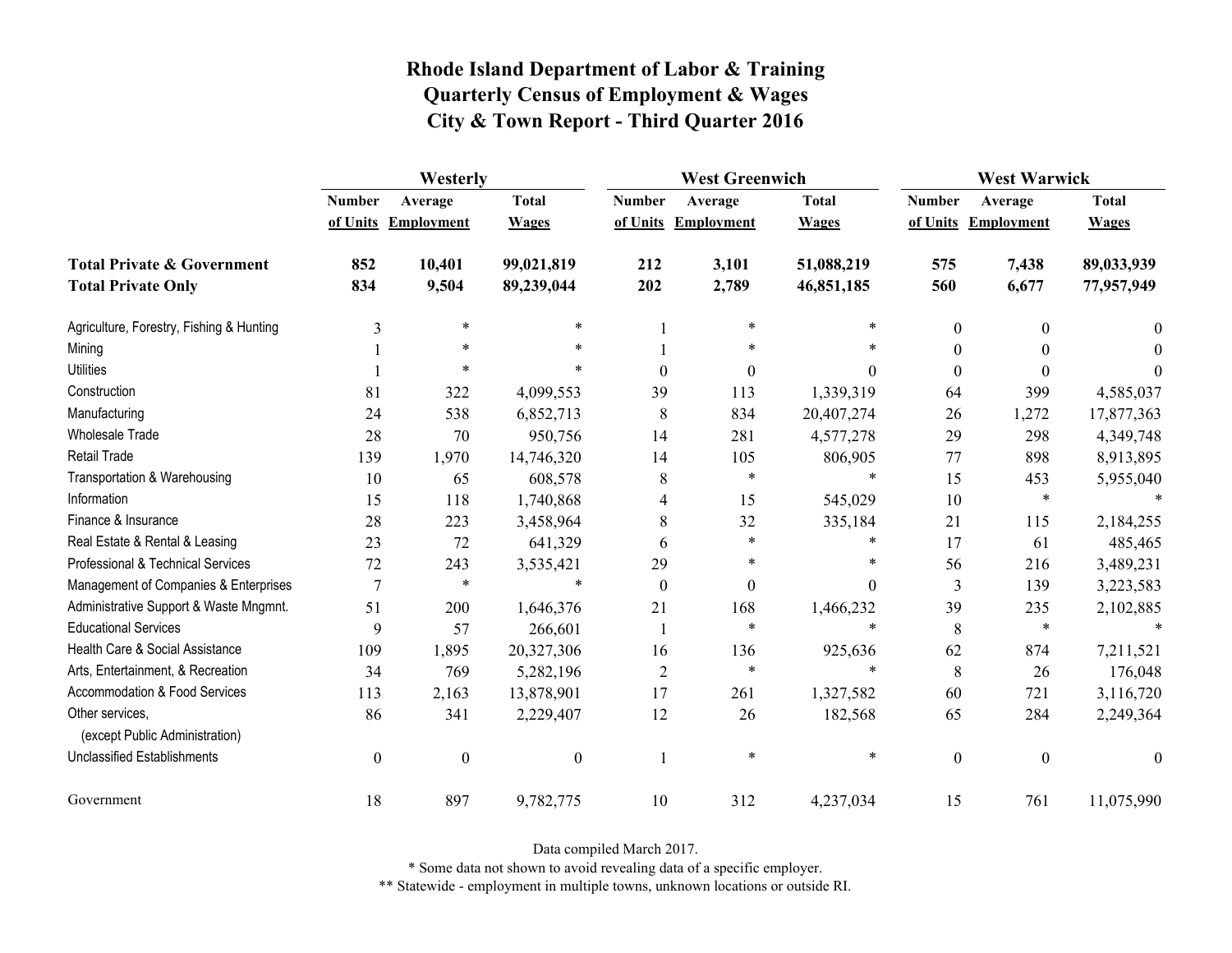|                                                   | Westerly         |                   |                  |                  | <b>West Greenwich</b> |              |                  | <b>West Warwick</b> |              |  |
|---------------------------------------------------|------------------|-------------------|------------------|------------------|-----------------------|--------------|------------------|---------------------|--------------|--|
|                                                   | <b>Number</b>    | Average           | <b>Total</b>     | <b>Number</b>    | Average               | <b>Total</b> | <b>Number</b>    | Average             | <b>Total</b> |  |
|                                                   | of Units         | <b>Employment</b> | <b>Wages</b>     |                  | of Units Employment   | <b>Wages</b> |                  | of Units Employment | <b>Wages</b> |  |
| <b>Total Private &amp; Government</b>             | 852              | 10,401            | 99,021,819       | 212              | 3,101                 | 51,088,219   | 575              | 7,438               | 89,033,939   |  |
| <b>Total Private Only</b>                         | 834              | 9,504             | 89,239,044       | 202              | 2,789                 | 46,851,185   | 560              | 6,677               | 77,957,949   |  |
| Agriculture, Forestry, Fishing & Hunting          | 3                | $\ast$            | $\ast$           |                  | $\ast$                | *            | $\boldsymbol{0}$ | 0                   | $\theta$     |  |
| Mining                                            |                  | $\ast$            |                  |                  | $\ast$                | *            | $\boldsymbol{0}$ |                     | $\Omega$     |  |
| <b>Utilities</b>                                  |                  | $\ast$            |                  | $\theta$         | $\boldsymbol{0}$      | $\Omega$     | $\boldsymbol{0}$ | 0                   | $\Omega$     |  |
| Construction                                      | 81               | 322               | 4,099,553        | 39               | 113                   | 1,339,319    | 64               | 399                 | 4,585,037    |  |
| Manufacturing                                     | 24               | 538               | 6,852,713        | 8                | 834                   | 20,407,274   | 26               | 1,272               | 17,877,363   |  |
| <b>Wholesale Trade</b>                            | 28               | 70                | 950,756          | 14               | 281                   | 4,577,278    | 29               | 298                 | 4,349,748    |  |
| <b>Retail Trade</b>                               | 139              | 1,970             | 14,746,320       | 14               | 105                   | 806,905      | 77               | 898                 | 8,913,895    |  |
| Transportation & Warehousing                      | 10               | 65                | 608,578          | 8                | $\ast$                | $\ast$       | 15               | 453                 | 5,955,040    |  |
| Information                                       | 15               | 118               | 1,740,868        | 4                | 15                    | 545,029      | 10               | $\ast$              |              |  |
| Finance & Insurance                               | 28               | 223               | 3,458,964        | 8                | 32                    | 335,184      | 21               | 115                 | 2,184,255    |  |
| Real Estate & Rental & Leasing                    | 23               | 72                | 641,329          | 6                | $\ast$                | $\ast$       | 17               | 61                  | 485,465      |  |
| Professional & Technical Services                 | 72               | 243               | 3,535,421        | 29               | $\ast$                | *            | 56               | 216                 | 3,489,231    |  |
| Management of Companies & Enterprises             | $\overline{7}$   | $\ast$            | $\ast$           | $\boldsymbol{0}$ | $\mathbf{0}$          | $\theta$     | 3                | 139                 | 3,223,583    |  |
| Administrative Support & Waste Mngmnt.            | 51               | 200               | 1,646,376        | 21               | 168                   | 1,466,232    | 39               | 235                 | 2,102,885    |  |
| <b>Educational Services</b>                       | 9                | 57                | 266,601          |                  | $\ast$                | $\ast$       | 8                | $\ast$              |              |  |
| Health Care & Social Assistance                   | 109              | 1,895             | 20,327,306       | 16               | 136                   | 925,636      | 62               | 874                 | 7,211,521    |  |
| Arts, Entertainment, & Recreation                 | 34               | 769               | 5,282,196        | $\overline{2}$   | $\ast$                | $\ast$       | $8\,$            | 26                  | 176,048      |  |
| <b>Accommodation &amp; Food Services</b>          | 113              | 2,163             | 13,878,901       | 17               | 261                   | 1,327,582    | 60               | 721                 | 3,116,720    |  |
| Other services,<br>(except Public Administration) | 86               | 341               | 2,229,407        | 12               | 26                    | 182,568      | 65               | 284                 | 2,249,364    |  |
| <b>Unclassified Establishments</b>                | $\boldsymbol{0}$ | $\boldsymbol{0}$  | $\boldsymbol{0}$ |                  | $\ast$                | $\ast$       | $\boldsymbol{0}$ | $\boldsymbol{0}$    | $\theta$     |  |
| Government                                        | 18               | 897               | 9,782,775        | 10               | 312                   | 4,237,034    | 15               | 761                 | 11,075,990   |  |

Data compiled March 2017.

\* Some data not shown to avoid revealing data of a specific employer.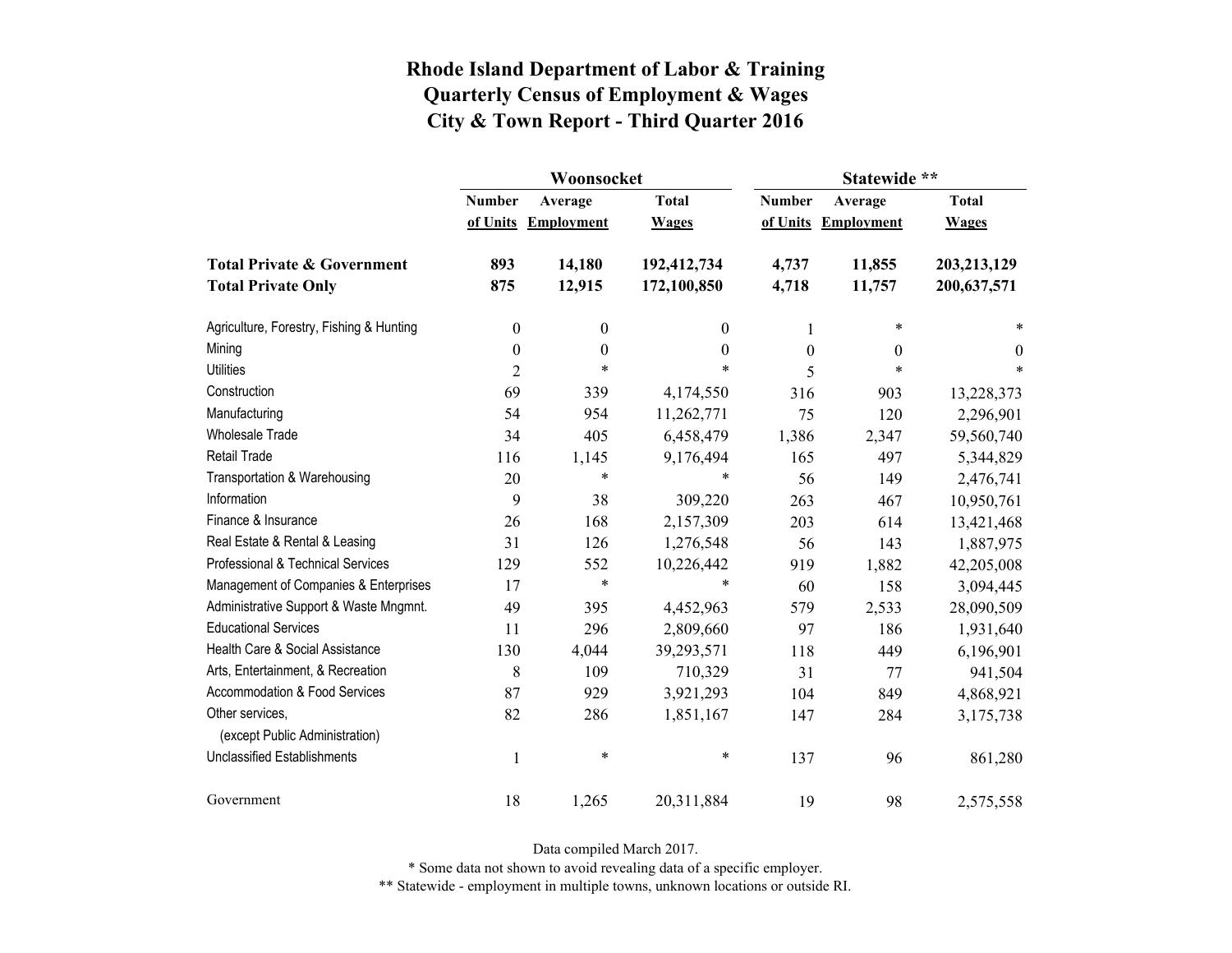|                                                   |                  | Woonsocket        |                  | Statewide **  |                   |              |  |
|---------------------------------------------------|------------------|-------------------|------------------|---------------|-------------------|--------------|--|
|                                                   | <b>Number</b>    | Average           | <b>Total</b>     | <b>Number</b> | Average           | <b>Total</b> |  |
|                                                   | of Units         | <b>Employment</b> | <b>Wages</b>     | of Units      | <b>Employment</b> | <b>Wages</b> |  |
| <b>Total Private &amp; Government</b>             | 893              | 14,180            | 192,412,734      | 4,737         | 11,855            | 203,213,129  |  |
| <b>Total Private Only</b>                         | 875              | 12,915            | 172,100,850      | 4,718         | 11,757            | 200,637,571  |  |
| Agriculture, Forestry, Fishing & Hunting          | $\boldsymbol{0}$ | $\boldsymbol{0}$  | 0                | 1             | $\ast$            | *            |  |
| Mining                                            | $\boldsymbol{0}$ | $\boldsymbol{0}$  | $\boldsymbol{0}$ | $\theta$      | 0                 | $\theta$     |  |
| <b>Utilities</b>                                  | $\overline{2}$   | $\ast$            | $\ast$           | 5             | $\ast$            | $\ast$       |  |
| Construction                                      | 69               | 339               | 4,174,550        | 316           | 903               | 13,228,373   |  |
| Manufacturing                                     | 54               | 954               | 11,262,771       | 75            | 120               | 2,296,901    |  |
| <b>Wholesale Trade</b>                            | 34               | 405               | 6,458,479        | 1,386         | 2,347             | 59,560,740   |  |
| Retail Trade                                      | 116              | 1,145             | 9,176,494        | 165           | 497               | 5,344,829    |  |
| Transportation & Warehousing                      | 20               | $\ast$            | *                | 56            | 149               | 2,476,741    |  |
| Information                                       | 9                | 38                | 309,220          | 263           | 467               | 10,950,761   |  |
| Finance & Insurance                               | 26               | 168               | 2,157,309        | 203           | 614               | 13,421,468   |  |
| Real Estate & Rental & Leasing                    | 31               | 126               | 1,276,548        | 56            | 143               | 1,887,975    |  |
| Professional & Technical Services                 | 129              | 552               | 10,226,442       | 919           | 1,882             | 42,205,008   |  |
| Management of Companies & Enterprises             | 17               | $\ast$            | $\ast$           | 60            | 158               | 3,094,445    |  |
| Administrative Support & Waste Mngmnt.            | 49               | 395               | 4,452,963        | 579           | 2,533             | 28,090,509   |  |
| <b>Educational Services</b>                       | 11               | 296               | 2,809,660        | 97            | 186               | 1,931,640    |  |
| Health Care & Social Assistance                   | 130              | 4,044             | 39,293,571       | 118           | 449               | 6,196,901    |  |
| Arts, Entertainment, & Recreation                 | 8                | 109               | 710,329          | 31            | 77                | 941,504      |  |
| Accommodation & Food Services                     | 87               | 929               | 3,921,293        | 104           | 849               | 4,868,921    |  |
| Other services,<br>(except Public Administration) | 82               | 286               | 1,851,167        | 147           | 284               | 3,175,738    |  |
| <b>Unclassified Establishments</b>                | $\mathbf 1$      | $\ast$            | $\ast$           | 137           | 96                | 861,280      |  |
| Government                                        | 18               | 1,265             | 20,311,884       | 19            | 98                | 2,575,558    |  |

Data compiled March 2017.

\* Some data not shown to avoid revealing data of a specific employer.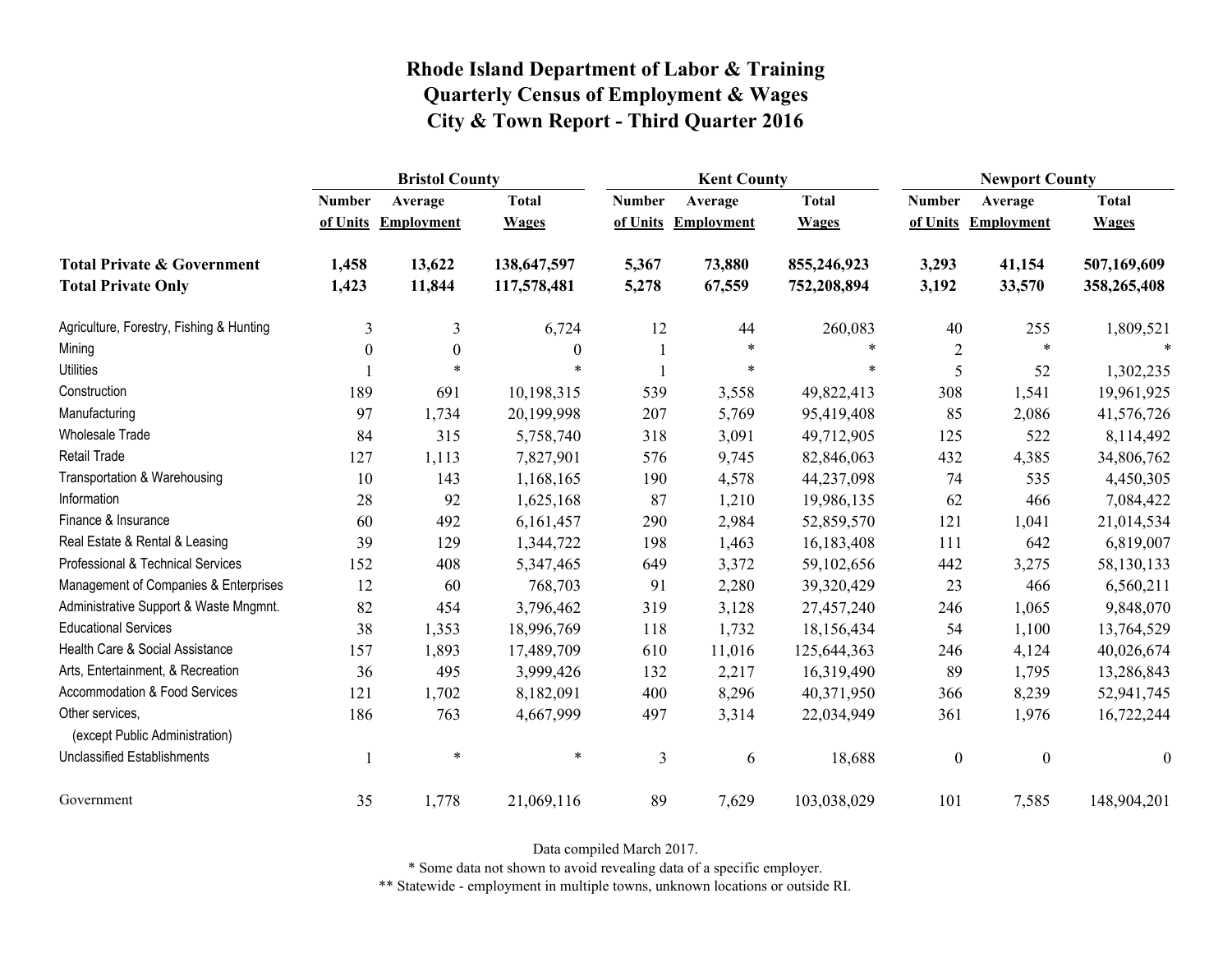|                                                   | <b>Bristol County</b> |                   |              |               | <b>Kent County</b> |              |                  | <b>Newport County</b> |                  |  |
|---------------------------------------------------|-----------------------|-------------------|--------------|---------------|--------------------|--------------|------------------|-----------------------|------------------|--|
|                                                   | <b>Number</b>         | Average           | <b>Total</b> | <b>Number</b> | Average            | <b>Total</b> | <b>Number</b>    | Average               | <b>Total</b>     |  |
|                                                   | of Units              | <b>Employment</b> | <b>Wages</b> | of Units      | Employment         | <b>Wages</b> | of Units         | <b>Employment</b>     | <b>Wages</b>     |  |
| <b>Total Private &amp; Government</b>             | 1,458                 | 13,622            | 138,647,597  | 5,367         | 73,880             | 855,246,923  | 3,293            | 41,154                | 507,169,609      |  |
| <b>Total Private Only</b>                         | 1,423                 | 11,844            | 117,578,481  | 5,278         | 67,559             | 752,208,894  | 3,192            | 33,570                | 358,265,408      |  |
| Agriculture, Forestry, Fishing & Hunting          | 3                     | 3                 | 6,724        | 12            | 44                 | 260,083      | 40               | 255                   | 1,809,521        |  |
| Mining                                            | $\theta$              | $\boldsymbol{0}$  | $\theta$     |               | $\ast$             | $\ast$       | $\overline{2}$   | $\ast$                | $\ast$           |  |
| <b>Utilities</b>                                  |                       | $\ast$            | $\ast$       |               | $\ast$             | $\ast$       | 5                | 52                    | 1,302,235        |  |
| Construction                                      | 189                   | 691               | 10,198,315   | 539           | 3,558              | 49,822,413   | 308              | 1,541                 | 19,961,925       |  |
| Manufacturing                                     | 97                    | 1,734             | 20,199,998   | 207           | 5,769              | 95,419,408   | 85               | 2,086                 | 41,576,726       |  |
| Wholesale Trade                                   | 84                    | 315               | 5,758,740    | 318           | 3,091              | 49,712,905   | 125              | 522                   | 8,114,492        |  |
| <b>Retail Trade</b>                               | 127                   | 1,113             | 7,827,901    | 576           | 9,745              | 82,846,063   | 432              | 4,385                 | 34,806,762       |  |
| Transportation & Warehousing                      | 10                    | 143               | 1,168,165    | 190           | 4,578              | 44,237,098   | 74               | 535                   | 4,450,305        |  |
| Information                                       | 28                    | 92                | 1,625,168    | 87            | 1,210              | 19,986,135   | 62               | 466                   | 7,084,422        |  |
| Finance & Insurance                               | 60                    | 492               | 6,161,457    | 290           | 2,984              | 52,859,570   | 121              | 1,041                 | 21,014,534       |  |
| Real Estate & Rental & Leasing                    | 39                    | 129               | 1,344,722    | 198           | 1,463              | 16,183,408   | 111              | 642                   | 6,819,007        |  |
| Professional & Technical Services                 | 152                   | 408               | 5,347,465    | 649           | 3,372              | 59,102,656   | 442              | 3,275                 | 58,130,133       |  |
| Management of Companies & Enterprises             | 12                    | 60                | 768,703      | 91            | 2,280              | 39,320,429   | 23               | 466                   | 6,560,211        |  |
| Administrative Support & Waste Mngmnt.            | 82                    | 454               | 3,796,462    | 319           | 3,128              | 27,457,240   | 246              | 1,065                 | 9,848,070        |  |
| <b>Educational Services</b>                       | 38                    | 1,353             | 18,996,769   | 118           | 1,732              | 18,156,434   | 54               | 1,100                 | 13,764,529       |  |
| Health Care & Social Assistance                   | 157                   | 1,893             | 17,489,709   | 610           | 11,016             | 125,644,363  | 246              | 4,124                 | 40,026,674       |  |
| Arts, Entertainment, & Recreation                 | 36                    | 495               | 3,999,426    | 132           | 2,217              | 16,319,490   | 89               | 1,795                 | 13,286,843       |  |
| Accommodation & Food Services                     | 121                   | 1,702             | 8,182,091    | 400           | 8,296              | 40,371,950   | 366              | 8,239                 | 52,941,745       |  |
| Other services,<br>(except Public Administration) | 186                   | 763               | 4,667,999    | 497           | 3,314              | 22,034,949   | 361              | 1,976                 | 16,722,244       |  |
| Unclassified Establishments                       | 1                     | $\ast$            | $\ast$       | 3             | 6                  | 18,688       | $\boldsymbol{0}$ | $\boldsymbol{0}$      | $\boldsymbol{0}$ |  |
| Government                                        | 35                    | 1,778             | 21,069,116   | 89            | 7,629              | 103,038,029  | 101              | 7,585                 | 148,904,201      |  |

Data compiled March 2017.

\* Some data not shown to avoid revealing data of a specific employer.